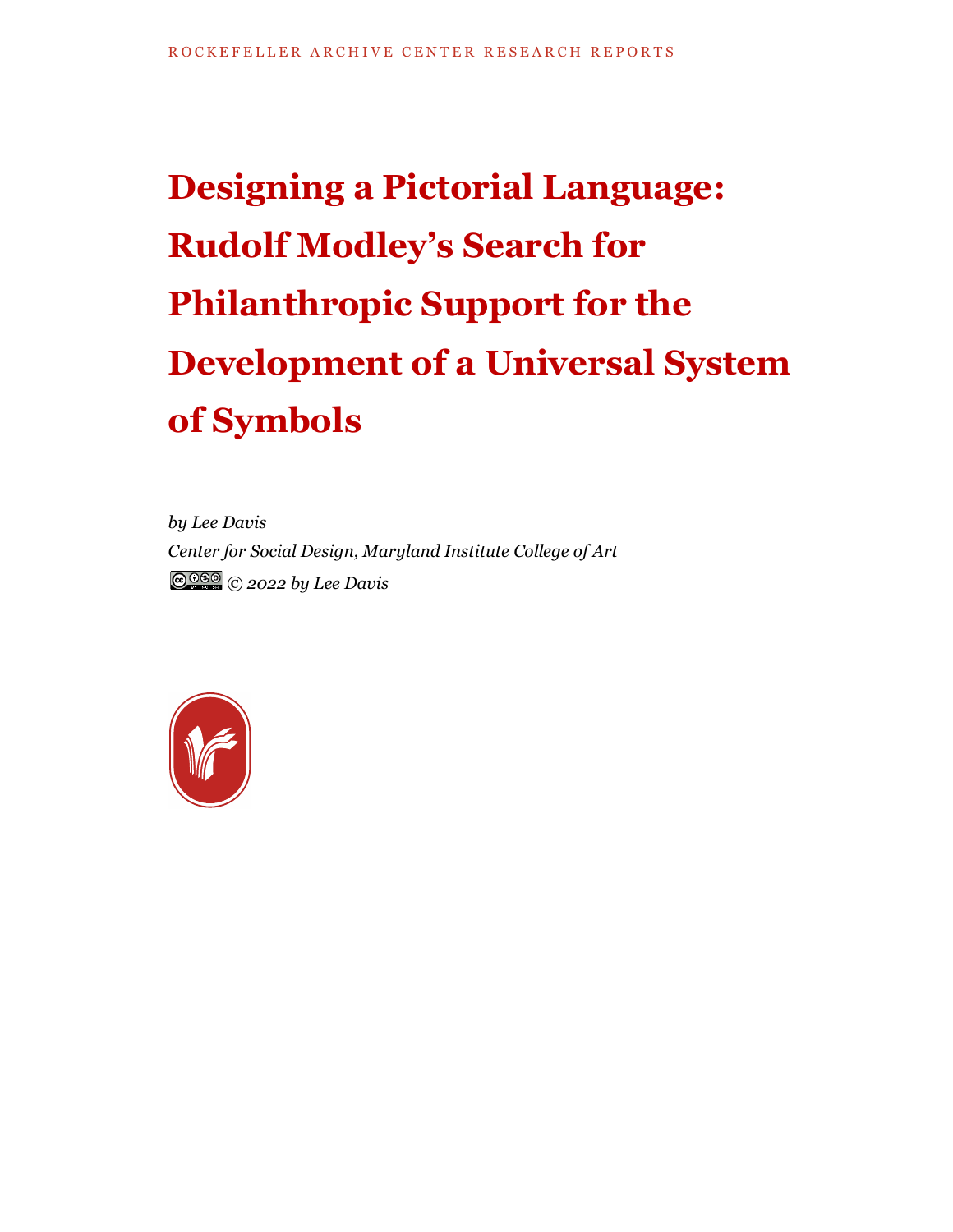# **Designing a Pictorial Language: Rudolf Modley's Search for Philanthropic Support for the Development of a Universal System of Symbols**

*by Lee Davis Center for Social Design, Maryland Institute College of Art © 2022 by Lee Davis*

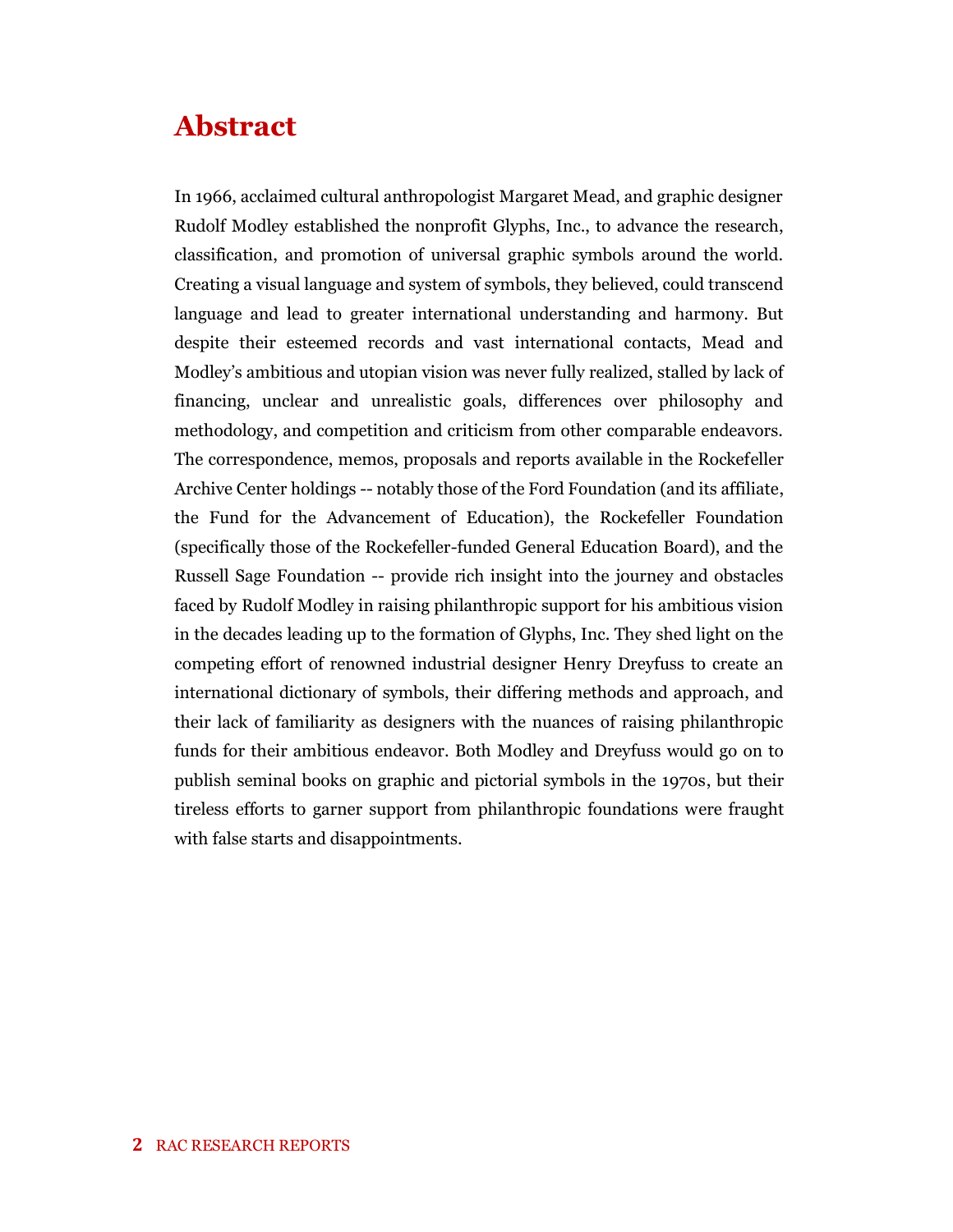## **Abstract**

In 1966, acclaimed cultural anthropologist Margaret Mead, and graphic designer Rudolf Modley established the nonprofit Glyphs, Inc., to advance the research, classification, and promotion of universal graphic symbols around the world. Creating a visual language and system of symbols, they believed, could transcend language and lead to greater international understanding and harmony. But despite their esteemed records and vast international contacts, Mead and Modley's ambitious and utopian vision was never fully realized, stalled by lack of financing, unclear and unrealistic goals, differences over philosophy and methodology, and competition and criticism from other comparable endeavors. The correspondence, memos, proposals and reports available in the Rockefeller Archive Center holdings -- notably those of the Ford Foundation (and its affiliate, the Fund for the Advancement of Education), the Rockefeller Foundation (specifically those of the Rockefeller-funded General Education Board), and the Russell Sage Foundation -- provide rich insight into the journey and obstacles faced by Rudolf Modley in raising philanthropic support for his ambitious vision in the decades leading up to the formation of Glyphs, Inc. They shed light on the competing effort of renowned industrial designer Henry Dreyfuss to create an international dictionary of symbols, their differing methods and approach, and their lack of familiarity as designers with the nuances of raising philanthropic funds for their ambitious endeavor. Both Modley and Dreyfuss would go on to publish seminal books on graphic and pictorial symbols in the 1970s, but their tireless efforts to garner support from philanthropic foundations were fraught with false starts and disappointments.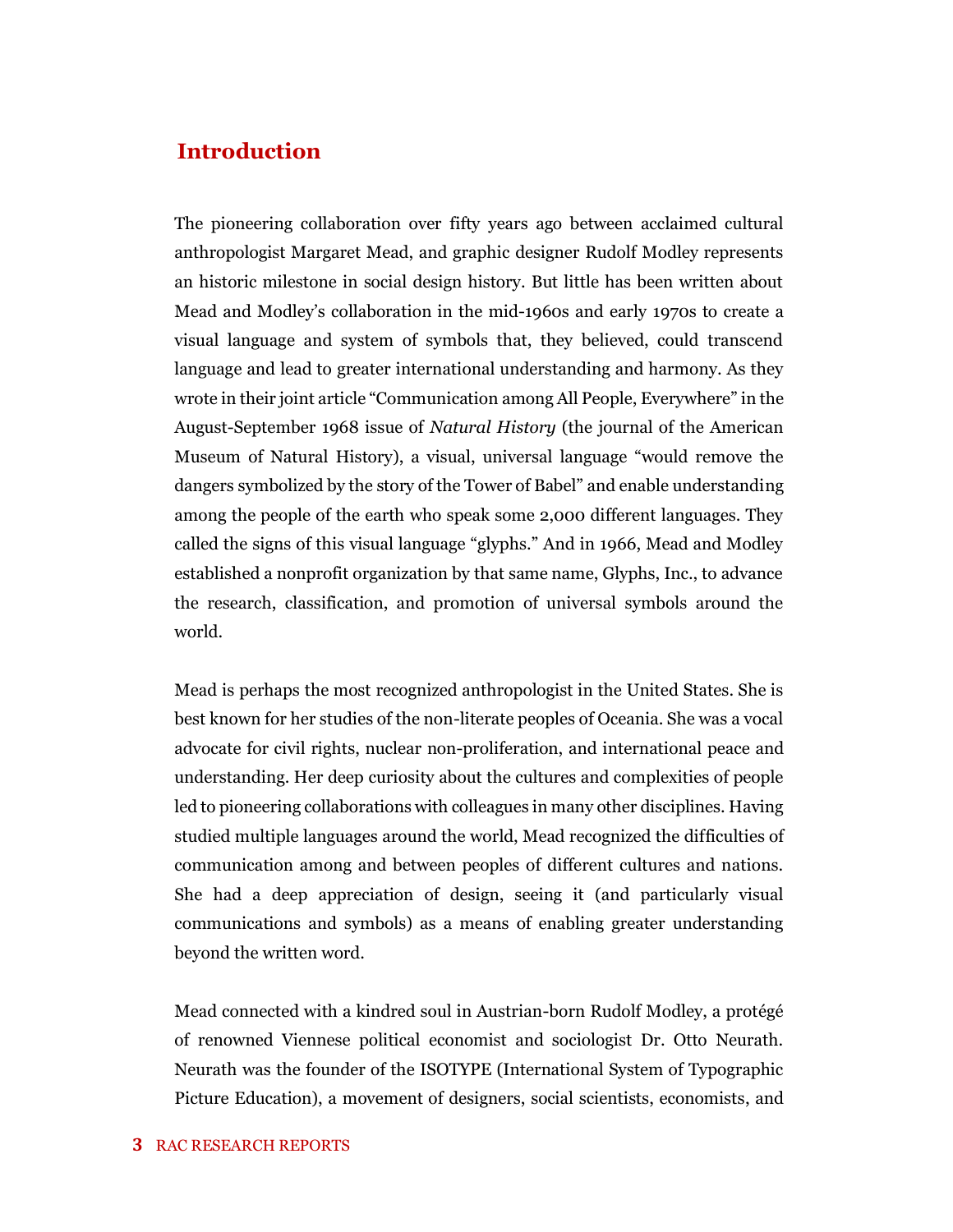#### **Introduction**

The pioneering collaboration over fifty years ago between acclaimed cultural anthropologist Margaret Mead, and graphic designer Rudolf Modley represents an historic milestone in social design history. But little has been written about Mead and Modley's collaboration in the mid-1960s and early 1970s to create a visual language and system of symbols that, they believed, could transcend language and lead to greater international understanding and harmony. As they wrote in their joint article "Communication among All People, Everywhere" in the August-September 1968 issue of *Natural History* (the journal of the American Museum of Natural History), a visual, universal language "would remove the dangers symbolized by the story of the Tower of Babel" and enable understanding among the people of the earth who speak some 2,000 different languages. They called the signs of this visual language "glyphs." And in 1966, Mead and Modley established a nonprofit organization by that same name, Glyphs, Inc., to advance the research, classification, and promotion of universal symbols around the world.

Mead is perhaps the most recognized anthropologist in the United States. She is best known for her studies of the non-literate peoples of Oceania. She was a vocal advocate for civil rights, nuclear non-proliferation, and international peace and understanding. Her deep curiosity about the cultures and complexities of people led to pioneering collaborations with colleagues in many other disciplines. Having studied multiple languages around the world, Mead recognized the difficulties of communication among and between peoples of different cultures and nations. She had a deep appreciation of design, seeing it (and particularly visual communications and symbols) as a means of enabling greater understanding beyond the written word.

Mead connected with a kindred soul in Austrian-born Rudolf Modley, a protégé of renowned Viennese political economist and sociologist Dr. Otto Neurath. Neurath was the founder of the ISOTYPE (International System of Typographic Picture Education), a movement of designers, social scientists, economists, and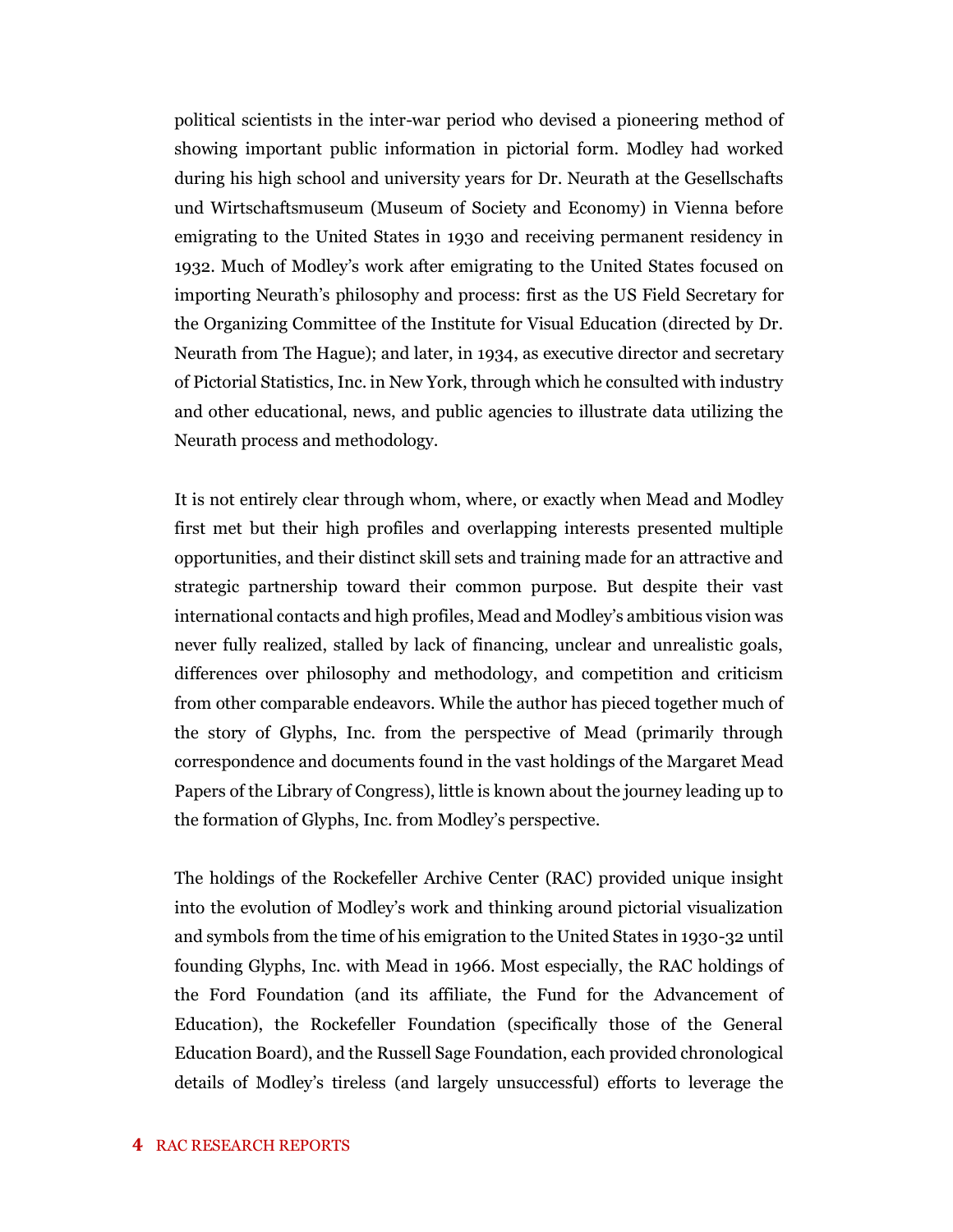political scientists in the inter-war period who devised a pioneering method of showing important public information in pictorial form. Modley had worked during his high school and university years for Dr. Neurath at the Gesellschafts und Wirtschaftsmuseum (Museum of Society and Economy) in Vienna before emigrating to the United States in 1930 and receiving permanent residency in 1932. Much of Modley's work after emigrating to the United States focused on importing Neurath's philosophy and process: first as the US Field Secretary for the Organizing Committee of the Institute for Visual Education (directed by Dr. Neurath from The Hague); and later, in 1934, as executive director and secretary of Pictorial Statistics, Inc. in New York, through which he consulted with industry and other educational, news, and public agencies to illustrate data utilizing the Neurath process and methodology.

It is not entirely clear through whom, where, or exactly when Mead and Modley first met but their high profiles and overlapping interests presented multiple opportunities, and their distinct skill sets and training made for an attractive and strategic partnership toward their common purpose. But despite their vast international contacts and high profiles, Mead and Modley's ambitious vision was never fully realized, stalled by lack of financing, unclear and unrealistic goals, differences over philosophy and methodology, and competition and criticism from other comparable endeavors. While the author has pieced together much of the story of Glyphs, Inc. from the perspective of Mead (primarily through correspondence and documents found in the vast holdings of the Margaret Mead Papers of the Library of Congress), little is known about the journey leading up to the formation of Glyphs, Inc. from Modley's perspective.

The holdings of the Rockefeller Archive Center (RAC) provided unique insight into the evolution of Modley's work and thinking around pictorial visualization and symbols from the time of his emigration to the United States in 1930-32 until founding Glyphs, Inc. with Mead in 1966. Most especially, the RAC holdings of the Ford Foundation (and its affiliate, the Fund for the Advancement of Education), the Rockefeller Foundation (specifically those of the General Education Board), and the Russell Sage Foundation, each provided chronological details of Modley's tireless (and largely unsuccessful) efforts to leverage the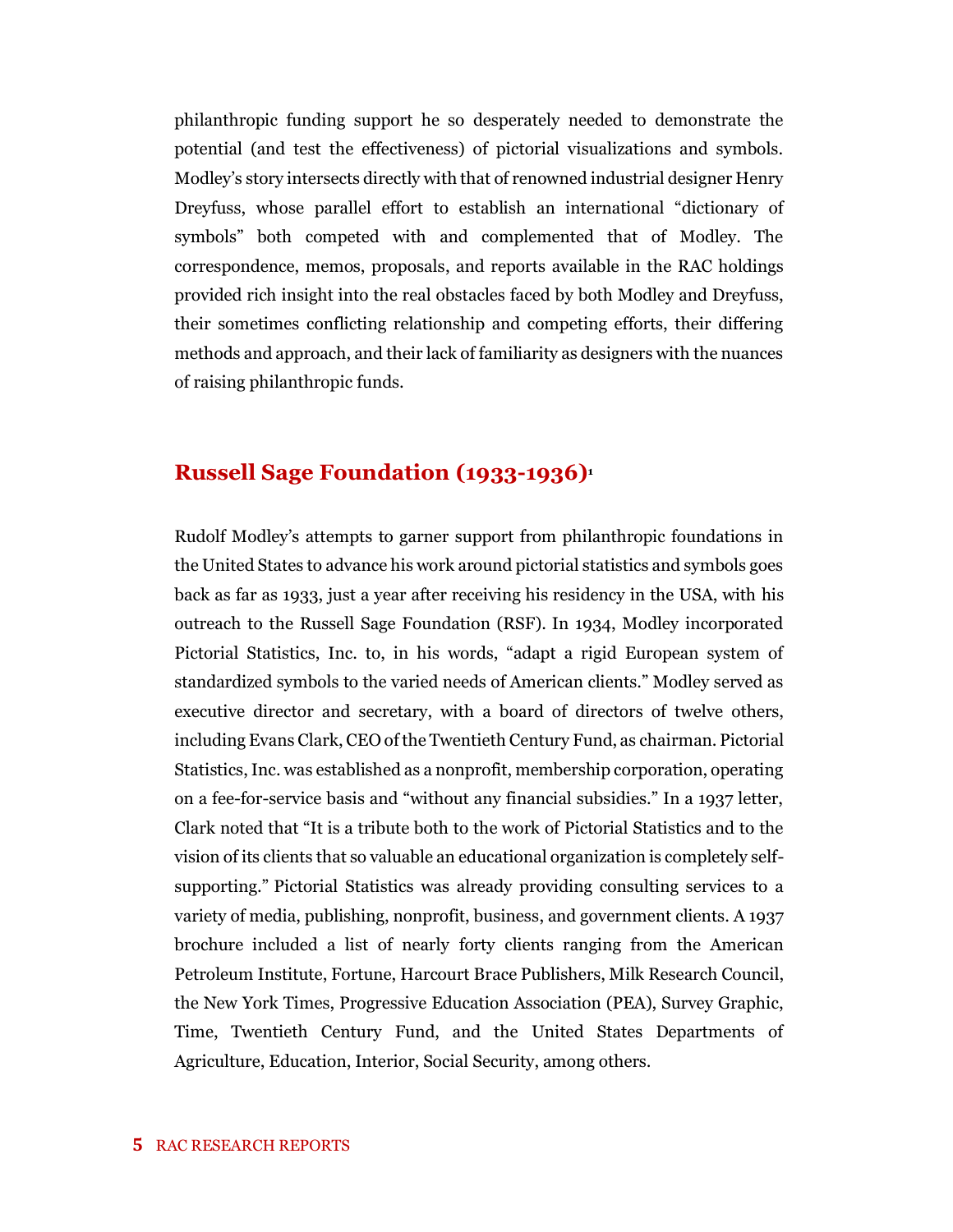philanthropic funding support he so desperately needed to demonstrate the potential (and test the effectiveness) of pictorial visualizations and symbols. Modley's story intersects directly with that of renowned industrial designer Henry Dreyfuss, whose parallel effort to establish an international "dictionary of symbols" both competed with and complemented that of Modley. The correspondence, memos, proposals, and reports available in the RAC holdings provided rich insight into the real obstacles faced by both Modley and Dreyfuss, their sometimes conflicting relationship and competing efforts, their differing methods and approach, and their lack of familiarity as designers with the nuances of raising philanthropic funds.

#### **Russell Sage Foundation (1933-1936)<sup>1</sup>**

Rudolf Modley's attempts to garner support from philanthropic foundations in the United States to advance his work around pictorial statistics and symbols goes back as far as 1933, just a year after receiving his residency in the USA, with his outreach to the Russell Sage Foundation (RSF). In 1934, Modley incorporated Pictorial Statistics, Inc. to, in his words, "adapt a rigid European system of standardized symbols to the varied needs of American clients." Modley served as executive director and secretary, with a board of directors of twelve others, including Evans Clark, CEO of the Twentieth Century Fund, as chairman. Pictorial Statistics, Inc. was established as a nonprofit, membership corporation, operating on a fee-for-service basis and "without any financial subsidies." In a 1937 letter, Clark noted that "It is a tribute both to the work of Pictorial Statistics and to the vision of its clients that so valuable an educational organization is completely selfsupporting." Pictorial Statistics was already providing consulting services to a variety of media, publishing, nonprofit, business, and government clients. A 1937 brochure included a list of nearly forty clients ranging from the American Petroleum Institute, Fortune, Harcourt Brace Publishers, Milk Research Council, the New York Times, Progressive Education Association (PEA), Survey Graphic, Time, Twentieth Century Fund, and the United States Departments of Agriculture, Education, Interior, Social Security, among others.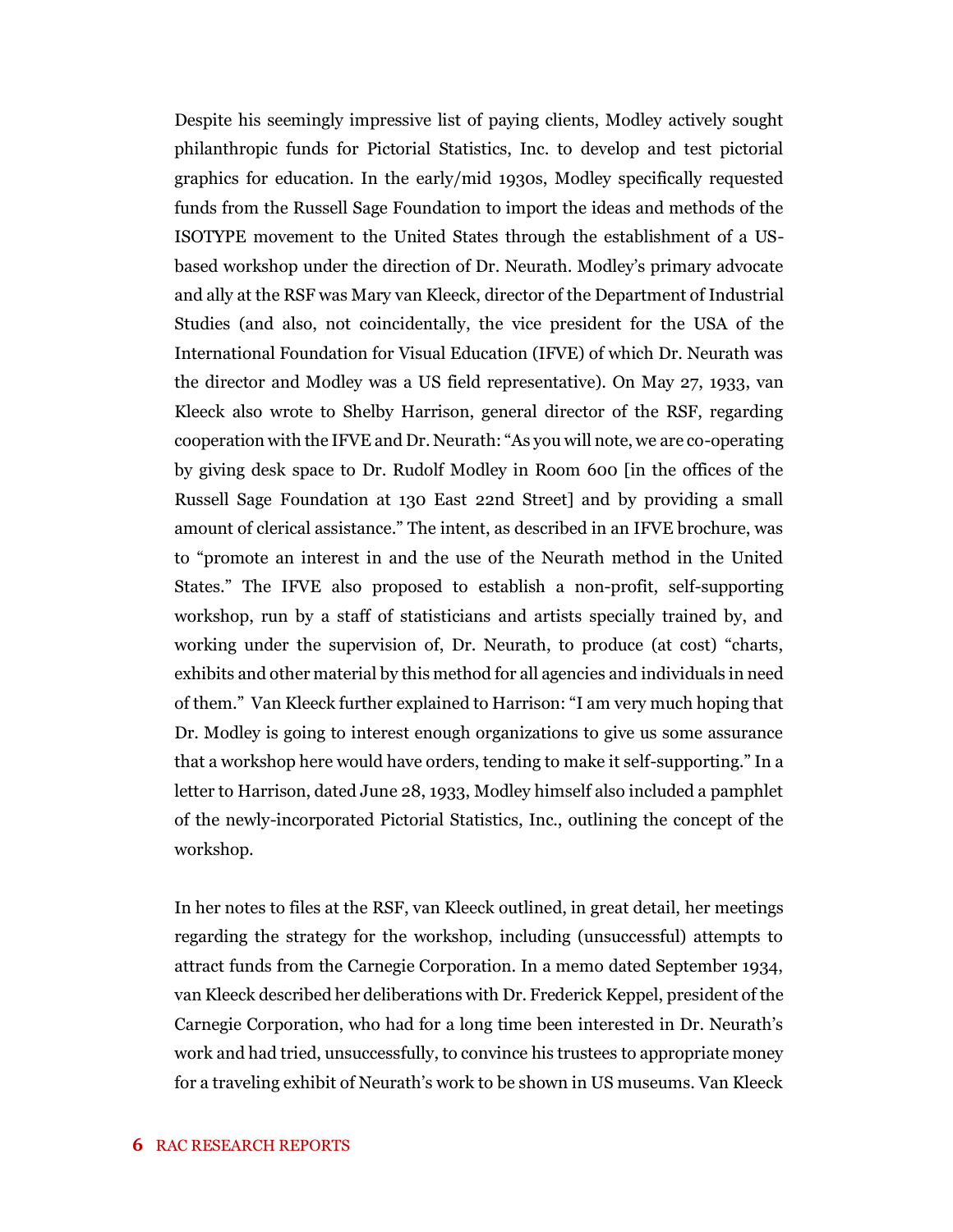Despite his seemingly impressive list of paying clients, Modley actively sought philanthropic funds for Pictorial Statistics, Inc. to develop and test pictorial graphics for education. In the early/mid 1930s, Modley specifically requested funds from the Russell Sage Foundation to import the ideas and methods of the ISOTYPE movement to the United States through the establishment of a USbased workshop under the direction of Dr. Neurath. Modley's primary advocate and ally at the RSF was Mary van Kleeck, director of the Department of Industrial Studies (and also, not coincidentally, the vice president for the USA of the International Foundation for Visual Education (IFVE) of which Dr. Neurath was the director and Modley was a US field representative). On May 27, 1933, van Kleeck also wrote to Shelby Harrison, general director of the RSF, regarding cooperation with the IFVE and Dr. Neurath: "As you will note, we are co-operating by giving desk space to Dr. Rudolf Modley in Room 600 [in the offices of the Russell Sage Foundation at 130 East 22nd Street] and by providing a small amount of clerical assistance." The intent, as described in an IFVE brochure, was to "promote an interest in and the use of the Neurath method in the United States." The IFVE also proposed to establish a non-profit, self-supporting workshop, run by a staff of statisticians and artists specially trained by, and working under the supervision of, Dr. Neurath, to produce (at cost) "charts, exhibits and other material by this method for all agencies and individuals in need of them." Van Kleeck further explained to Harrison: "I am very much hoping that Dr. Modley is going to interest enough organizations to give us some assurance that a workshop here would have orders, tending to make it self-supporting." In a letter to Harrison, dated June 28, 1933, Modley himself also included a pamphlet of the newly-incorporated Pictorial Statistics, Inc., outlining the concept of the workshop.

In her notes to files at the RSF, van Kleeck outlined, in great detail, her meetings regarding the strategy for the workshop, including (unsuccessful) attempts to attract funds from the Carnegie Corporation. In a memo dated September 1934, van Kleeck described her deliberations with Dr. Frederick Keppel, president of the Carnegie Corporation, who had for a long time been interested in Dr. Neurath's work and had tried, unsuccessfully, to convince his trustees to appropriate money for a traveling exhibit of Neurath's work to be shown in US museums. Van Kleeck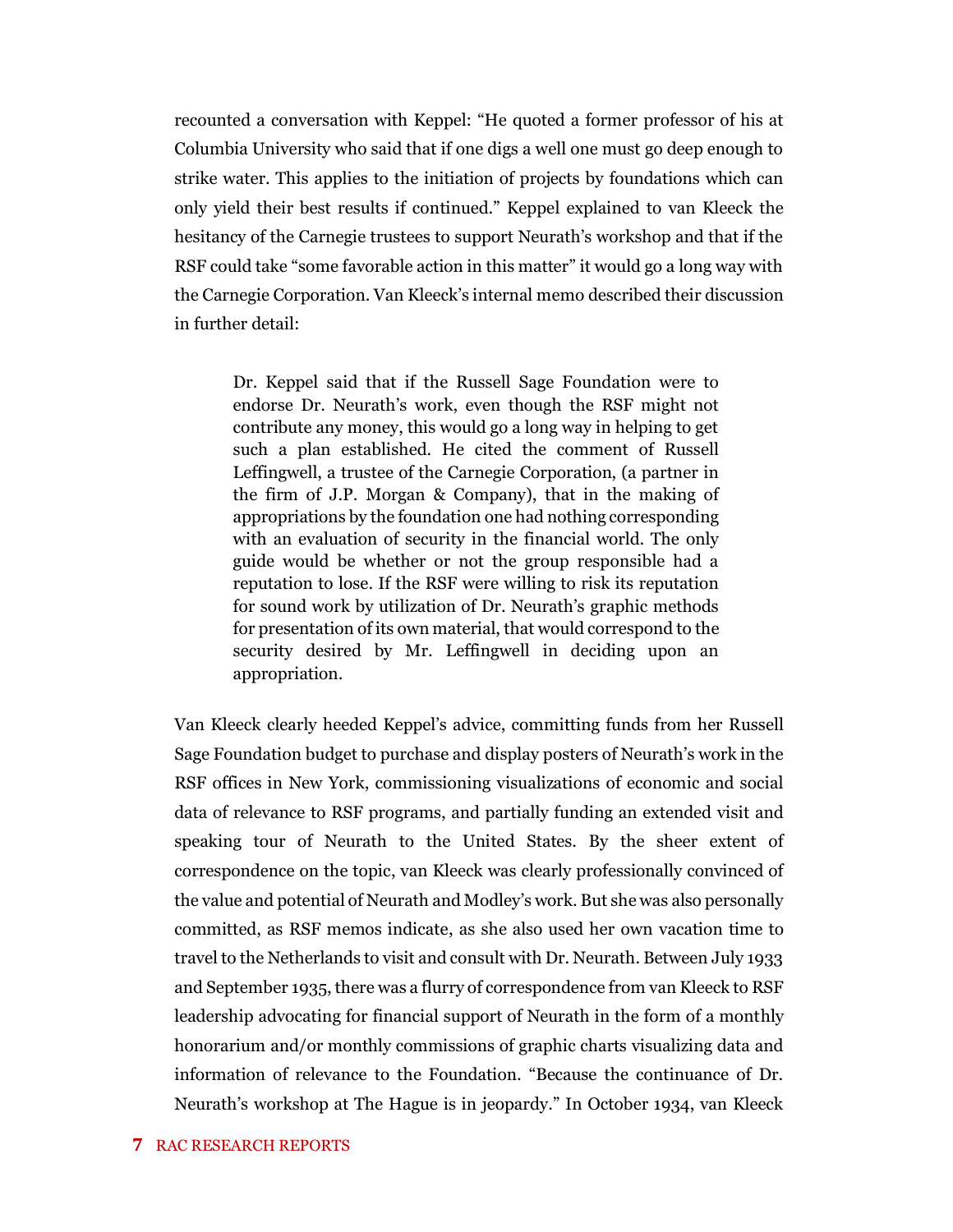recounted a conversation with Keppel: "He quoted a former professor of his at Columbia University who said that if one digs a well one must go deep enough to strike water. This applies to the initiation of projects by foundations which can only yield their best results if continued." Keppel explained to van Kleeck the hesitancy of the Carnegie trustees to support Neurath's workshop and that if the RSF could take "some favorable action in this matter" it would go a long way with the Carnegie Corporation. Van Kleeck's internal memo described their discussion in further detail:

Dr. Keppel said that if the Russell Sage Foundation were to endorse Dr. Neurath's work, even though the RSF might not contribute any money, this would go a long way in helping to get such a plan established. He cited the comment of Russell Leffingwell, a trustee of the Carnegie Corporation, (a partner in the firm of J.P. Morgan & Company), that in the making of appropriations by the foundation one had nothing corresponding with an evaluation of security in the financial world. The only guide would be whether or not the group responsible had a reputation to lose. If the RSF were willing to risk its reputation for sound work by utilization of Dr. Neurath's graphic methods for presentation of its own material, that would correspond to the security desired by Mr. Leffingwell in deciding upon an appropriation.

Van Kleeck clearly heeded Keppel's advice, committing funds from her Russell Sage Foundation budget to purchase and display posters of Neurath's work in the RSF offices in New York, commissioning visualizations of economic and social data of relevance to RSF programs, and partially funding an extended visit and speaking tour of Neurath to the United States. By the sheer extent of correspondence on the topic, van Kleeck was clearly professionally convinced of the value and potential of Neurath and Modley's work. But she was also personally committed, as RSF memos indicate, as she also used her own vacation time to travel to the Netherlands to visit and consult with Dr. Neurath. Between July 1933 and September 1935, there was a flurry of correspondence from van Kleeck to RSF leadership advocating for financial support of Neurath in the form of a monthly honorarium and/or monthly commissions of graphic charts visualizing data and information of relevance to the Foundation. "Because the continuance of Dr. Neurath's workshop at The Hague is in jeopardy." In October 1934, van Kleeck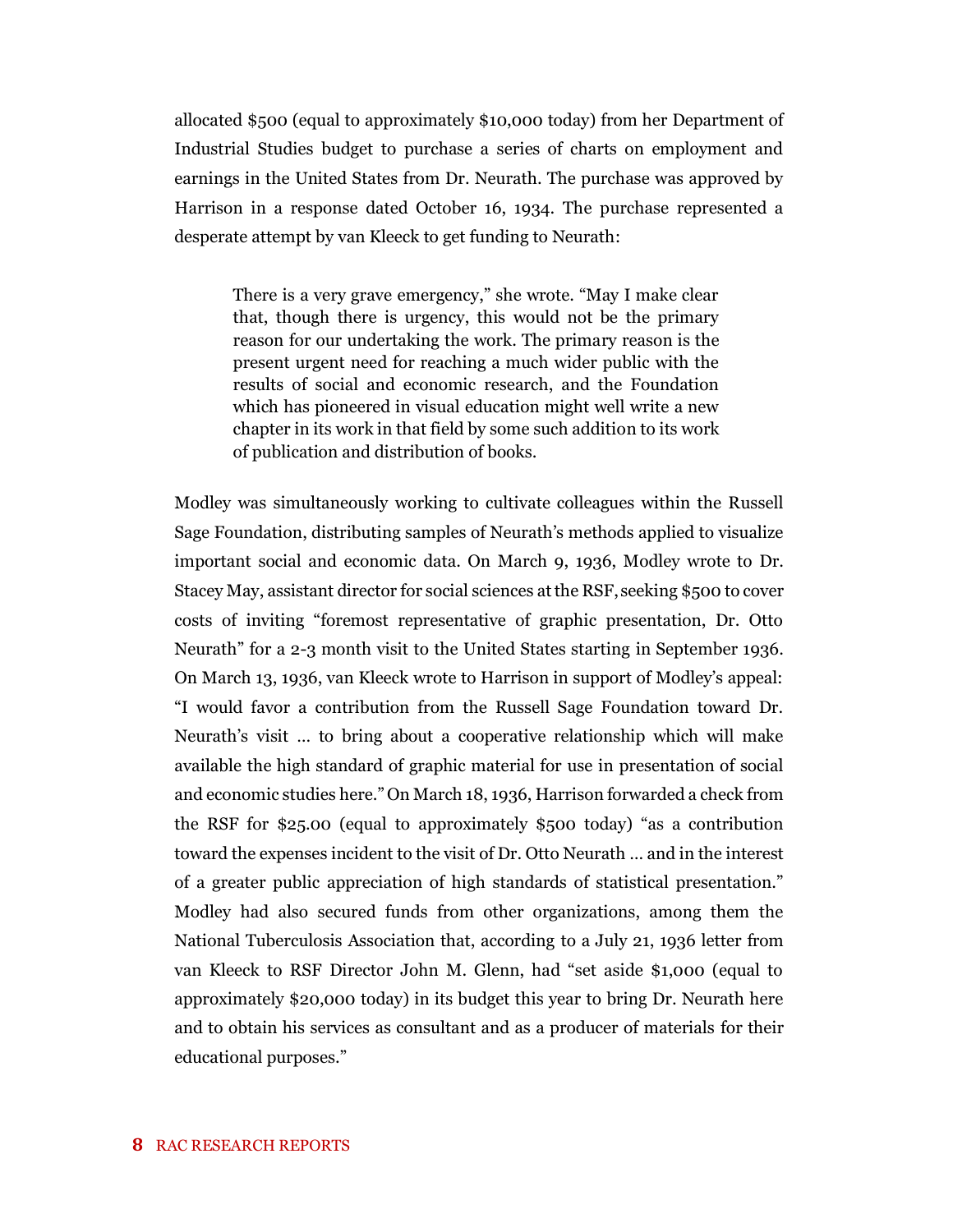allocated \$500 (equal to approximately \$10,000 today) from her Department of Industrial Studies budget to purchase a series of charts on employment and earnings in the United States from Dr. Neurath. The purchase was approved by Harrison in a response dated October 16, 1934. The purchase represented a desperate attempt by van Kleeck to get funding to Neurath:

There is a very grave emergency," she wrote. "May I make clear that, though there is urgency, this would not be the primary reason for our undertaking the work. The primary reason is the present urgent need for reaching a much wider public with the results of social and economic research, and the Foundation which has pioneered in visual education might well write a new chapter in its work in that field by some such addition to its work of publication and distribution of books.

Modley was simultaneously working to cultivate colleagues within the Russell Sage Foundation, distributing samples of Neurath's methods applied to visualize important social and economic data. On March 9, 1936, Modley wrote to Dr. Stacey May, assistant director for social sciences at the RSF, seeking \$500 to cover costs of inviting "foremost representative of graphic presentation, Dr. Otto Neurath" for a 2-3 month visit to the United States starting in September 1936. On March 13, 1936, van Kleeck wrote to Harrison in support of Modley's appeal: "I would favor a contribution from the Russell Sage Foundation toward Dr. Neurath's visit … to bring about a cooperative relationship which will make available the high standard of graphic material for use in presentation of social and economic studies here." On March 18, 1936, Harrison forwarded a check from the RSF for \$25.00 (equal to approximately \$500 today) "as a contribution toward the expenses incident to the visit of Dr. Otto Neurath … and in the interest of a greater public appreciation of high standards of statistical presentation." Modley had also secured funds from other organizations, among them the National Tuberculosis Association that, according to a July 21, 1936 letter from van Kleeck to RSF Director John M. Glenn, had "set aside \$1,000 (equal to approximately \$20,000 today) in its budget this year to bring Dr. Neurath here and to obtain his services as consultant and as a producer of materials for their educational purposes."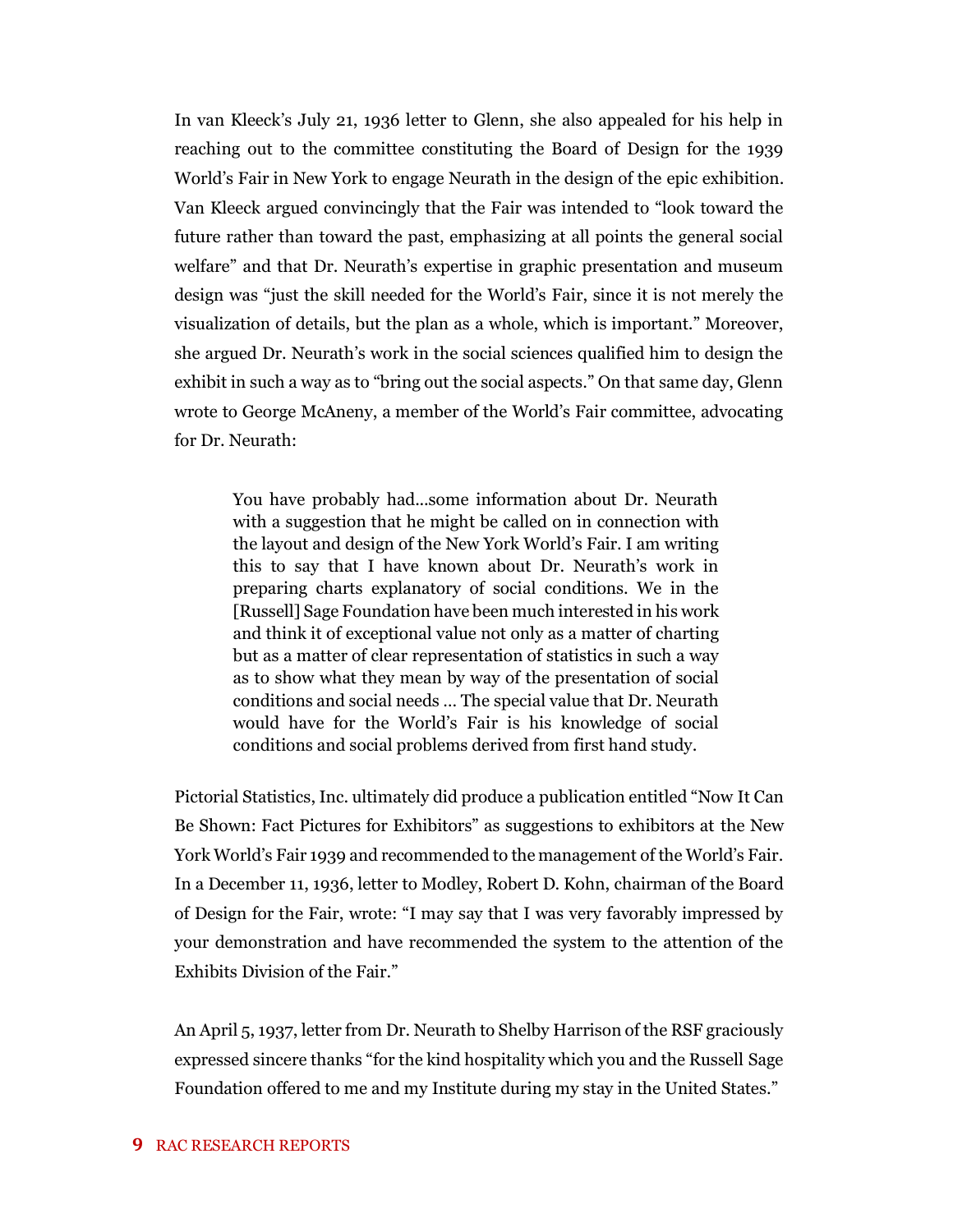In van Kleeck's July 21, 1936 letter to Glenn, she also appealed for his help in reaching out to the committee constituting the Board of Design for the 1939 World's Fair in New York to engage Neurath in the design of the epic exhibition. Van Kleeck argued convincingly that the Fair was intended to "look toward the future rather than toward the past, emphasizing at all points the general social welfare" and that Dr. Neurath's expertise in graphic presentation and museum design was "just the skill needed for the World's Fair, since it is not merely the visualization of details, but the plan as a whole, which is important." Moreover, she argued Dr. Neurath's work in the social sciences qualified him to design the exhibit in such a way as to "bring out the social aspects." On that same day, Glenn wrote to George McAneny, a member of the World's Fair committee, advocating for Dr. Neurath:

You have probably had...some information about Dr. Neurath with a suggestion that he might be called on in connection with the layout and design of the New York World's Fair. I am writing this to say that I have known about Dr. Neurath's work in preparing charts explanatory of social conditions. We in the [Russell] Sage Foundation have been much interested in his work and think it of exceptional value not only as a matter of charting but as a matter of clear representation of statistics in such a way as to show what they mean by way of the presentation of social conditions and social needs … The special value that Dr. Neurath would have for the World's Fair is his knowledge of social conditions and social problems derived from first hand study.

Pictorial Statistics, Inc. ultimately did produce a publication entitled "Now It Can Be Shown: Fact Pictures for Exhibitors" as suggestions to exhibitors at the New York World's Fair 1939 and recommended to the management of the World's Fair. In a December 11, 1936, letter to Modley, Robert D. Kohn, chairman of the Board of Design for the Fair, wrote: "I may say that I was very favorably impressed by your demonstration and have recommended the system to the attention of the Exhibits Division of the Fair."

An April 5, 1937, letter from Dr. Neurath to Shelby Harrison of the RSF graciously expressed sincere thanks "for the kind hospitality which you and the Russell Sage Foundation offered to me and my Institute during my stay in the United States."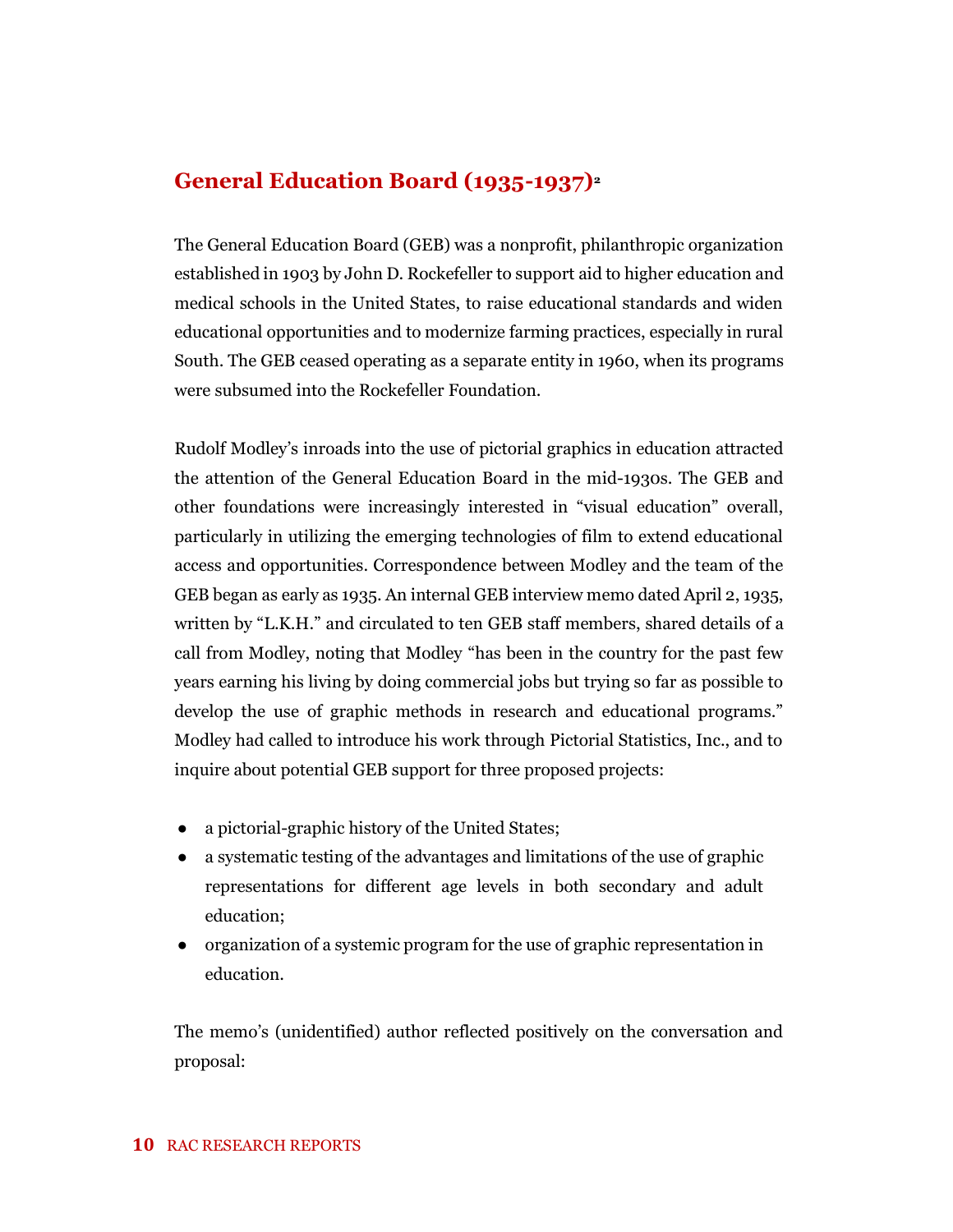### **General Education Board (1935-1937)<sup>2</sup>**

The General Education Board (GEB) was a nonprofit, philanthropic organization established in 1903 by John D. Rockefeller to support aid to higher education and medical schools in the United States, to raise educational standards and widen educational opportunities and to modernize farming practices, especially in rural South. The GEB ceased operating as a separate entity in 1960, when its programs were subsumed into the Rockefeller Foundation.

Rudolf Modley's inroads into the use of pictorial graphics in education attracted the attention of the General Education Board in the mid-1930s. The GEB and other foundations were increasingly interested in "visual education" overall, particularly in utilizing the emerging technologies of film to extend educational access and opportunities. Correspondence between Modley and the team of the GEB began as early as 1935. An internal GEB interview memo dated April 2, 1935, written by "L.K.H." and circulated to ten GEB staff members, shared details of a call from Modley, noting that Modley "has been in the country for the past few years earning his living by doing commercial jobs but trying so far as possible to develop the use of graphic methods in research and educational programs." Modley had called to introduce his work through Pictorial Statistics, Inc., and to inquire about potential GEB support for three proposed projects:

- a pictorial-graphic history of the United States;
- a systematic testing of the advantages and limitations of the use of graphic representations for different age levels in both secondary and adult education;
- organization of a systemic program for the use of graphic representation in education.

The memo's (unidentified) author reflected positively on the conversation and proposal: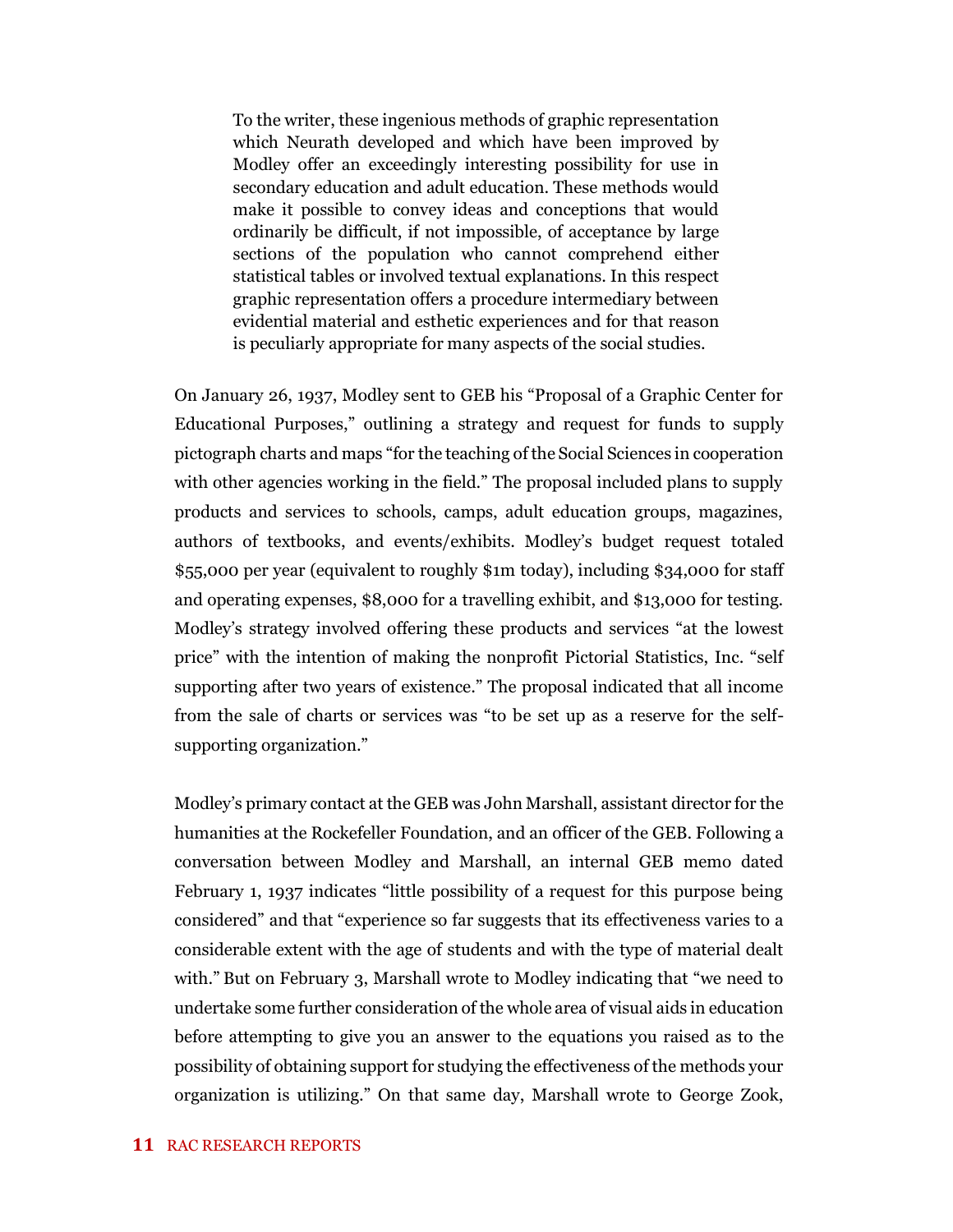To the writer, these ingenious methods of graphic representation which Neurath developed and which have been improved by Modley offer an exceedingly interesting possibility for use in secondary education and adult education. These methods would make it possible to convey ideas and conceptions that would ordinarily be difficult, if not impossible, of acceptance by large sections of the population who cannot comprehend either statistical tables or involved textual explanations. In this respect graphic representation offers a procedure intermediary between evidential material and esthetic experiences and for that reason is peculiarly appropriate for many aspects of the social studies.

On January 26, 1937, Modley sent to GEB his "Proposal of a Graphic Center for Educational Purposes," outlining a strategy and request for funds to supply pictograph charts and maps "for the teaching of the Social Sciences in cooperation with other agencies working in the field." The proposal included plans to supply products and services to schools, camps, adult education groups, magazines, authors of textbooks, and events/exhibits. Modley's budget request totaled \$55,000 per year (equivalent to roughly \$1m today), including \$34,000 for staff and operating expenses, \$8,000 for a travelling exhibit, and \$13,000 for testing. Modley's strategy involved offering these products and services "at the lowest price" with the intention of making the nonprofit Pictorial Statistics, Inc. "self supporting after two years of existence." The proposal indicated that all income from the sale of charts or services was "to be set up as a reserve for the selfsupporting organization."

Modley's primary contact at the GEB was John Marshall, assistant director for the humanities at the Rockefeller Foundation, and an officer of the GEB. Following a conversation between Modley and Marshall, an internal GEB memo dated February 1, 1937 indicates "little possibility of a request for this purpose being considered" and that "experience so far suggests that its effectiveness varies to a considerable extent with the age of students and with the type of material dealt with." But on February 3, Marshall wrote to Modley indicating that "we need to undertake some further consideration of the whole area of visual aids in education before attempting to give you an answer to the equations you raised as to the possibility of obtaining support for studying the effectiveness of the methods your organization is utilizing." On that same day, Marshall wrote to George Zook,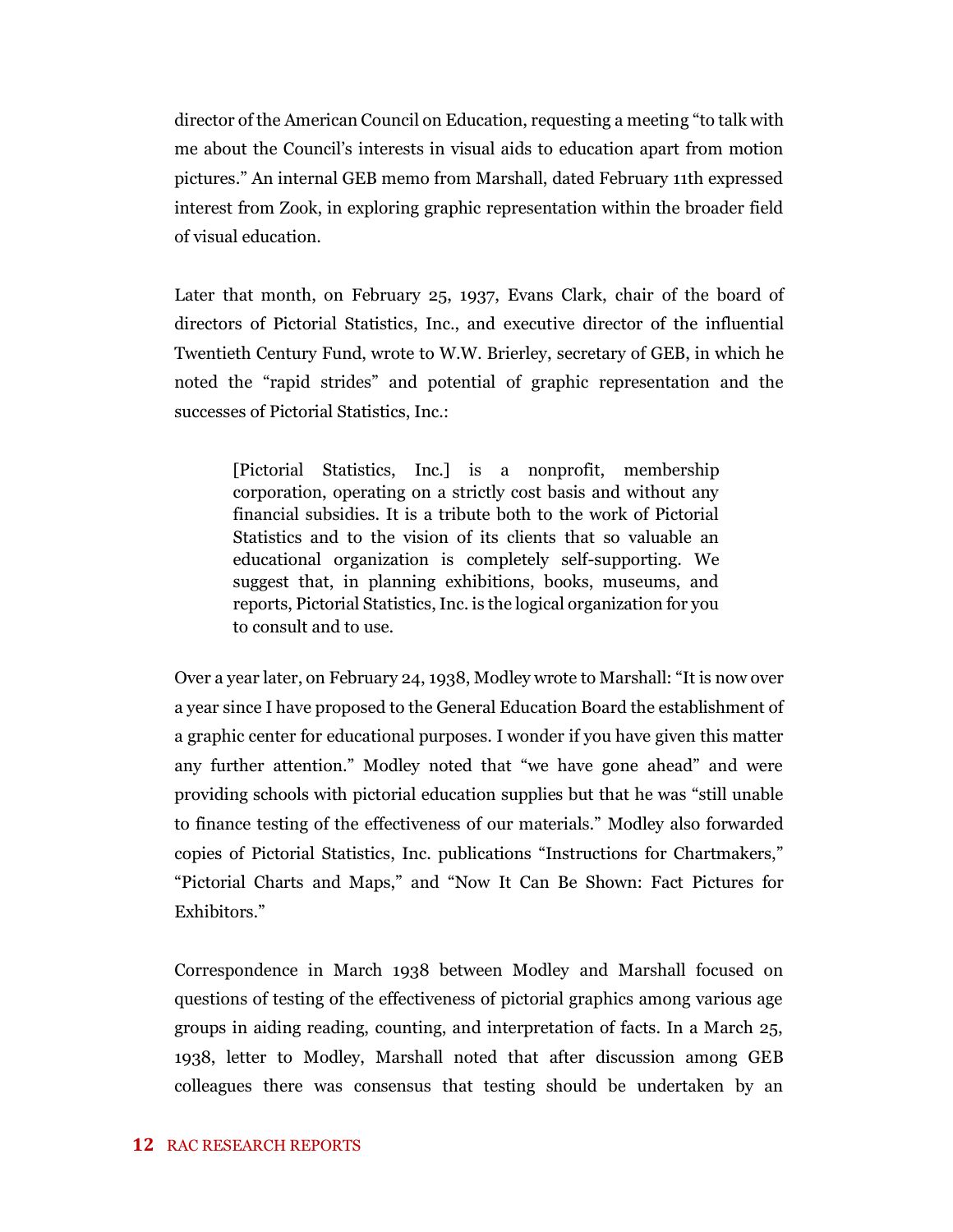director of the American Council on Education, requesting a meeting "to talk with me about the Council's interests in visual aids to education apart from motion pictures." An internal GEB memo from Marshall, dated February 11th expressed interest from Zook, in exploring graphic representation within the broader field of visual education.

Later that month, on February 25, 1937, Evans Clark, chair of the board of directors of Pictorial Statistics, Inc., and executive director of the influential Twentieth Century Fund, wrote to W.W. Brierley, secretary of GEB, in which he noted the "rapid strides" and potential of graphic representation and the successes of Pictorial Statistics, Inc.:

[Pictorial Statistics, Inc.] is a nonprofit, membership corporation, operating on a strictly cost basis and without any financial subsidies. It is a tribute both to the work of Pictorial Statistics and to the vision of its clients that so valuable an educational organization is completely self-supporting. We suggest that, in planning exhibitions, books, museums, and reports, Pictorial Statistics, Inc. is the logical organization for you to consult and to use.

Over a year later, on February 24, 1938, Modley wrote to Marshall: "It is now over a year since I have proposed to the General Education Board the establishment of a graphic center for educational purposes. I wonder if you have given this matter any further attention." Modley noted that "we have gone ahead" and were providing schools with pictorial education supplies but that he was "still unable to finance testing of the effectiveness of our materials." Modley also forwarded copies of Pictorial Statistics, Inc. publications "Instructions for Chartmakers," "Pictorial Charts and Maps," and "Now It Can Be Shown: Fact Pictures for Exhibitors."

Correspondence in March 1938 between Modley and Marshall focused on questions of testing of the effectiveness of pictorial graphics among various age groups in aiding reading, counting, and interpretation of facts. In a March 25, 1938, letter to Modley, Marshall noted that after discussion among GEB colleagues there was consensus that testing should be undertaken by an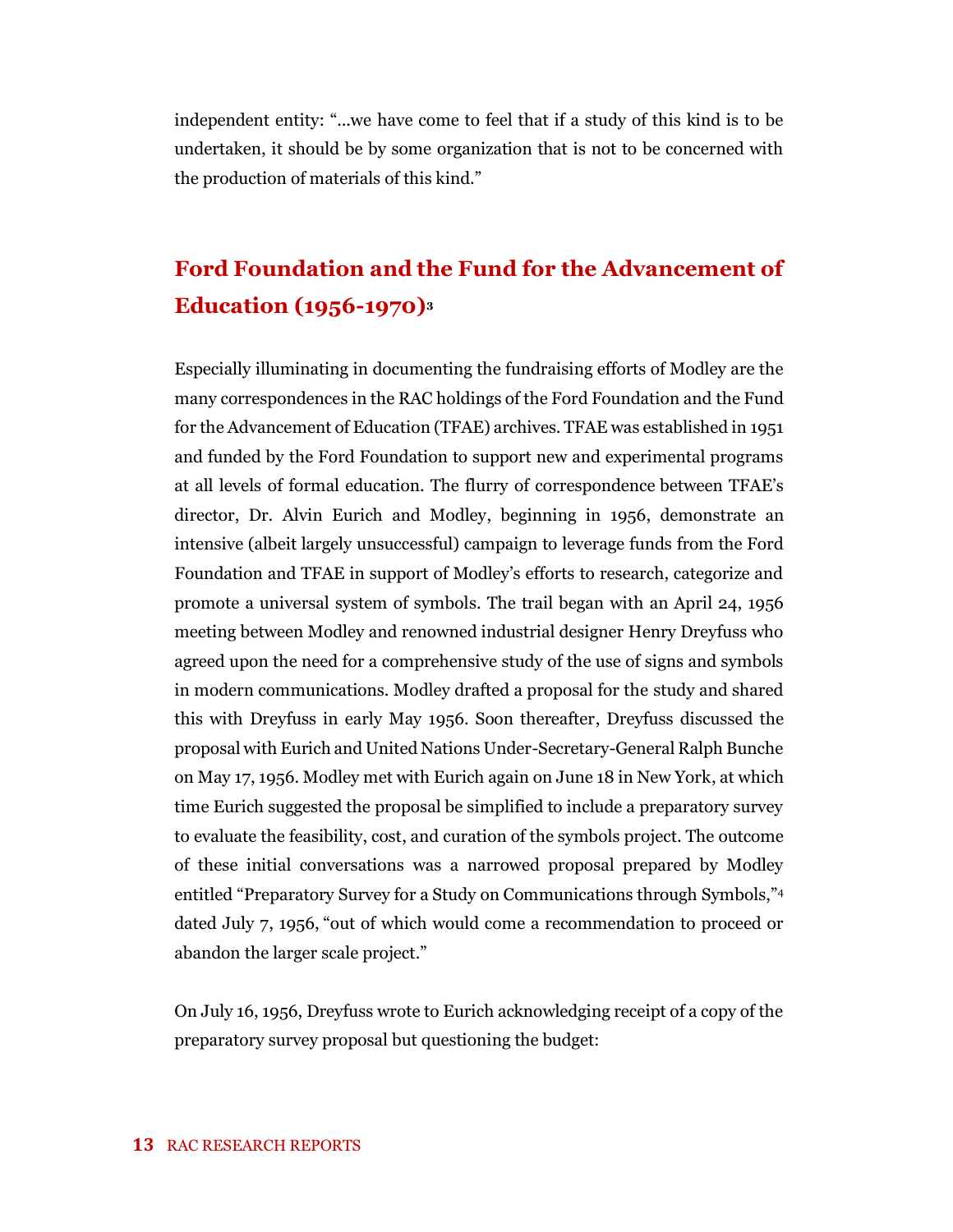independent entity: "...we have come to feel that if a study of this kind is to be undertaken, it should be by some organization that is not to be concerned with the production of materials of this kind."

## **Ford Foundation and the Fund for the Advancement of Education (1956-1970)<sup>3</sup>**

Especially illuminating in documenting the fundraising efforts of Modley are the many correspondences in the RAC holdings of the Ford Foundation and the Fund for the Advancement of Education (TFAE) archives. TFAE was established in 1951 and funded by the Ford Foundation to support new and experimental programs at all levels of formal education. The flurry of correspondence between TFAE's director, Dr. Alvin Eurich and Modley, beginning in 1956, demonstrate an intensive (albeit largely unsuccessful) campaign to leverage funds from the Ford Foundation and TFAE in support of Modley's efforts to research, categorize and promote a universal system of symbols. The trail began with an April 24, 1956 meeting between Modley and renowned industrial designer Henry Dreyfuss who agreed upon the need for a comprehensive study of the use of signs and symbols in modern communications. Modley drafted a proposal for the study and shared this with Dreyfuss in early May 1956. Soon thereafter, Dreyfuss discussed the proposal with Eurich and United Nations Under-Secretary-General Ralph Bunche on May 17, 1956. Modley met with Eurich again on June 18 in New York, at which time Eurich suggested the proposal be simplified to include a preparatory survey to evaluate the feasibility, cost, and curation of the symbols project. The outcome of these initial conversations was a narrowed proposal prepared by Modley entitled "Preparatory Survey for a Study on Communications through Symbols,"<sup>4</sup> dated July 7, 1956, "out of which would come a recommendation to proceed or abandon the larger scale project."

On July 16, 1956, Dreyfuss wrote to Eurich acknowledging receipt of a copy of the preparatory survey proposal but questioning the budget: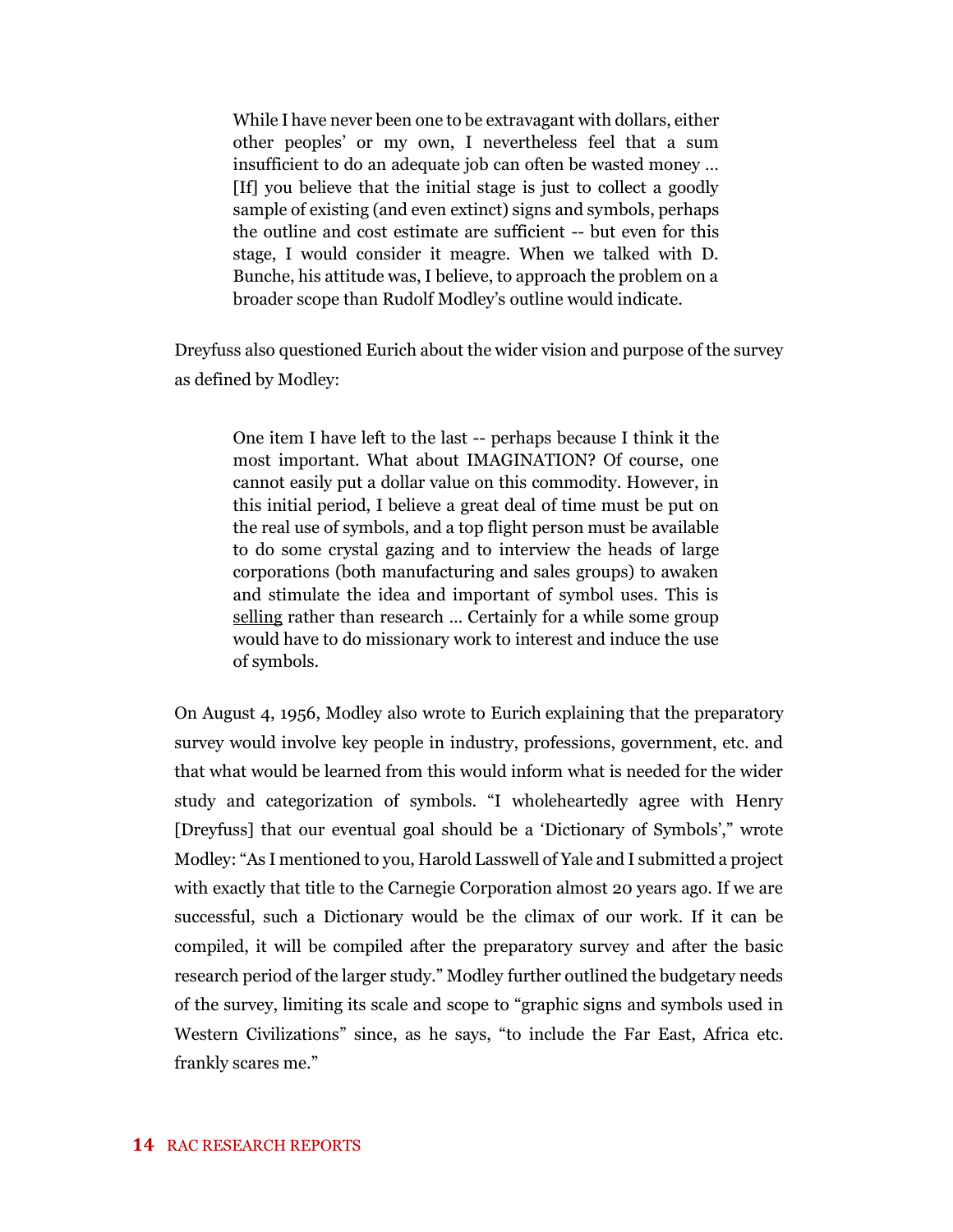While I have never been one to be extravagant with dollars, either other peoples' or my own, I nevertheless feel that a sum insufficient to do an adequate job can often be wasted money … [If] you believe that the initial stage is just to collect a goodly sample of existing (and even extinct) signs and symbols, perhaps the outline and cost estimate are sufficient -- but even for this stage, I would consider it meagre. When we talked with D. Bunche, his attitude was, I believe, to approach the problem on a broader scope than Rudolf Modley's outline would indicate.

Dreyfuss also questioned Eurich about the wider vision and purpose of the survey as defined by Modley:

One item I have left to the last -- perhaps because I think it the most important. What about IMAGINATION? Of course, one cannot easily put a dollar value on this commodity. However, in this initial period, I believe a great deal of time must be put on the real use of symbols, and a top flight person must be available to do some crystal gazing and to interview the heads of large corporations (both manufacturing and sales groups) to awaken and stimulate the idea and important of symbol uses. This is selling rather than research … Certainly for a while some group would have to do missionary work to interest and induce the use of symbols.

On August 4, 1956, Modley also wrote to Eurich explaining that the preparatory survey would involve key people in industry, professions, government, etc. and that what would be learned from this would inform what is needed for the wider study and categorization of symbols. "I wholeheartedly agree with Henry [Dreyfuss] that our eventual goal should be a 'Dictionary of Symbols'," wrote Modley: "As I mentioned to you, Harold Lasswell of Yale and I submitted a project with exactly that title to the Carnegie Corporation almost 20 years ago. If we are successful, such a Dictionary would be the climax of our work. If it can be compiled, it will be compiled after the preparatory survey and after the basic research period of the larger study." Modley further outlined the budgetary needs of the survey, limiting its scale and scope to "graphic signs and symbols used in Western Civilizations" since, as he says, "to include the Far East, Africa etc. frankly scares me."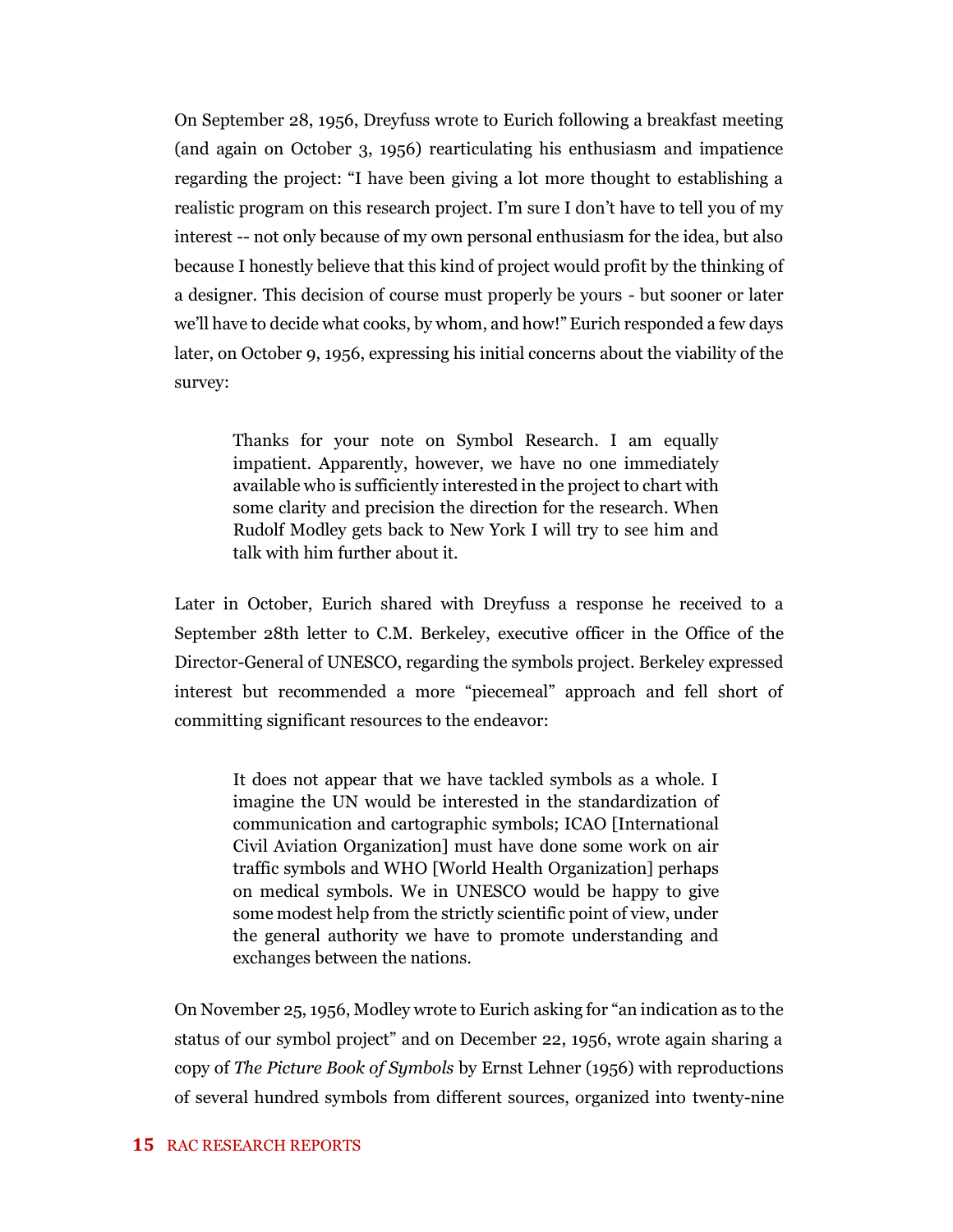On September 28, 1956, Dreyfuss wrote to Eurich following a breakfast meeting (and again on October 3, 1956) rearticulating his enthusiasm and impatience regarding the project: "I have been giving a lot more thought to establishing a realistic program on this research project. I'm sure I don't have to tell you of my interest -- not only because of my own personal enthusiasm for the idea, but also because I honestly believe that this kind of project would profit by the thinking of a designer. This decision of course must properly be yours - but sooner or later we'll have to decide what cooks, by whom, and how!"Eurich responded a few days later, on October 9, 1956, expressing his initial concerns about the viability of the survey:

Thanks for your note on Symbol Research. I am equally impatient. Apparently, however, we have no one immediately available who is sufficiently interested in the project to chart with some clarity and precision the direction for the research. When Rudolf Modley gets back to New York I will try to see him and talk with him further about it.

Later in October, Eurich shared with Dreyfuss a response he received to a September 28th letter to C.M. Berkeley, executive officer in the Office of the Director-General of UNESCO, regarding the symbols project. Berkeley expressed interest but recommended a more "piecemeal" approach and fell short of committing significant resources to the endeavor:

It does not appear that we have tackled symbols as a whole. I imagine the UN would be interested in the standardization of communication and cartographic symbols; ICAO [International Civil Aviation Organization] must have done some work on air traffic symbols and WHO [World Health Organization] perhaps on medical symbols. We in UNESCO would be happy to give some modest help from the strictly scientific point of view, under the general authority we have to promote understanding and exchanges between the nations.

On November 25, 1956, Modley wrote to Eurich asking for "an indication as to the status of our symbol project" and on December 22, 1956, wrote again sharing a copy of *The Picture Book of Symbols* by Ernst Lehner (1956) with reproductions of several hundred symbols from different sources, organized into twenty-nine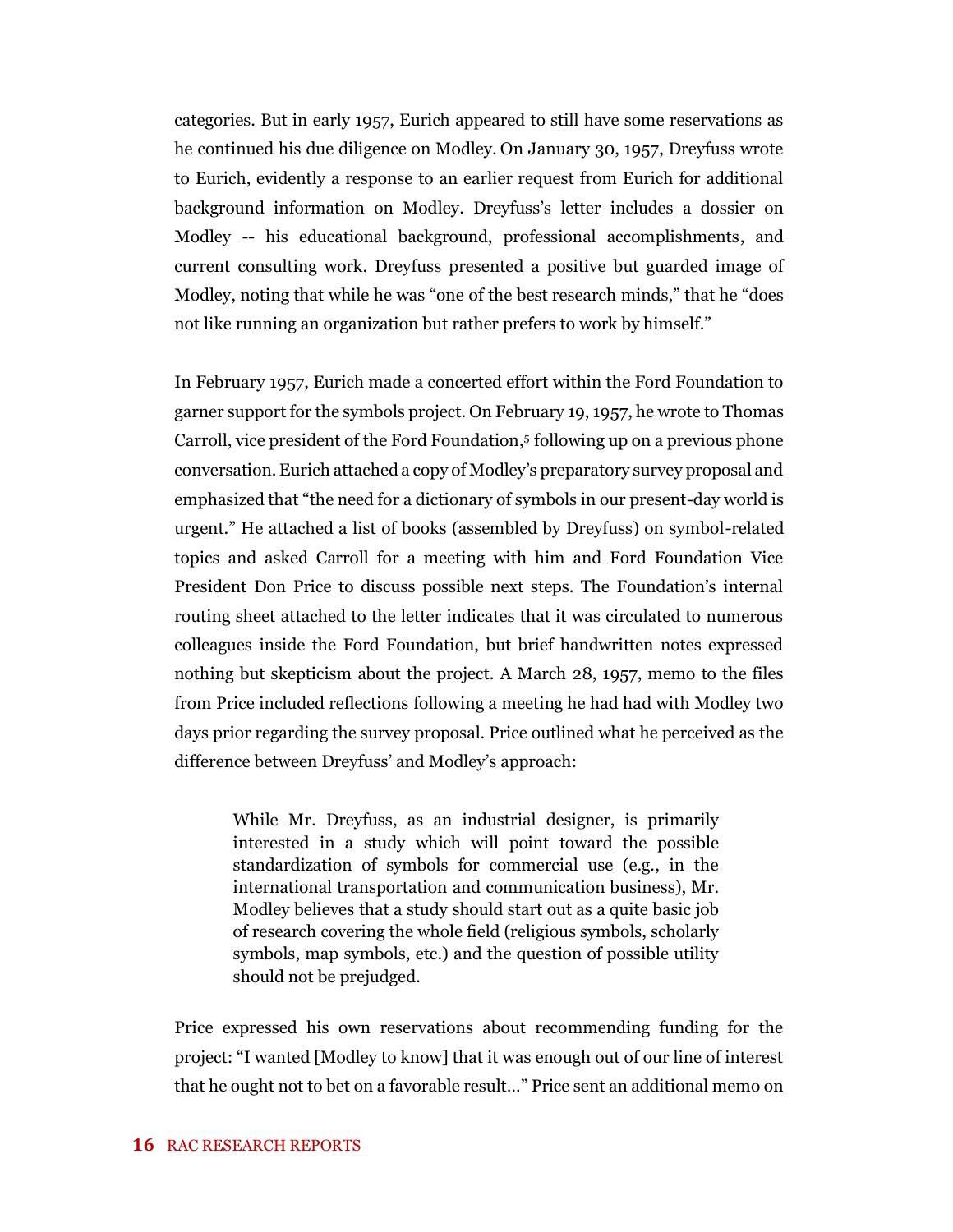categories. But in early 1957, Eurich appeared to still have some reservations as he continued his due diligence on Modley. On January 30, 1957, Dreyfuss wrote to Eurich, evidently a response to an earlier request from Eurich for additional background information on Modley. Dreyfuss's letter includes a dossier on Modley -- his educational background, professional accomplishments, and current consulting work. Dreyfuss presented a positive but guarded image of Modley, noting that while he was "one of the best research minds," that he "does not like running an organization but rather prefers to work by himself."

In February 1957, Eurich made a concerted effort within the Ford Foundation to garner support for the symbols project. On February 19, 1957, he wrote to Thomas Carroll, vice president of the Ford Foundation, 5 following up on a previous phone conversation. Eurich attached a copy of Modley's preparatory survey proposal and emphasized that "the need for a dictionary of symbols in our present-day world is urgent." He attached a list of books (assembled by Dreyfuss) on symbol-related topics and asked Carroll for a meeting with him and Ford Foundation Vice President Don Price to discuss possible next steps. The Foundation's internal routing sheet attached to the letter indicates that it was circulated to numerous colleagues inside the Ford Foundation, but brief handwritten notes expressed nothing but skepticism about the project. A March 28, 1957, memo to the files from Price included reflections following a meeting he had had with Modley two days prior regarding the survey proposal. Price outlined what he perceived as the difference between Dreyfuss' and Modley's approach:

While Mr. Dreyfuss, as an industrial designer, is primarily interested in a study which will point toward the possible standardization of symbols for commercial use (e.g., in the international transportation and communication business), Mr. Modley believes that a study should start out as a quite basic job of research covering the whole field (religious symbols, scholarly symbols, map symbols, etc.) and the question of possible utility should not be prejudged.

Price expressed his own reservations about recommending funding for the project: "I wanted [Modley to know] that it was enough out of our line of interest that he ought not to bet on a favorable result…" Price sent an additional memo on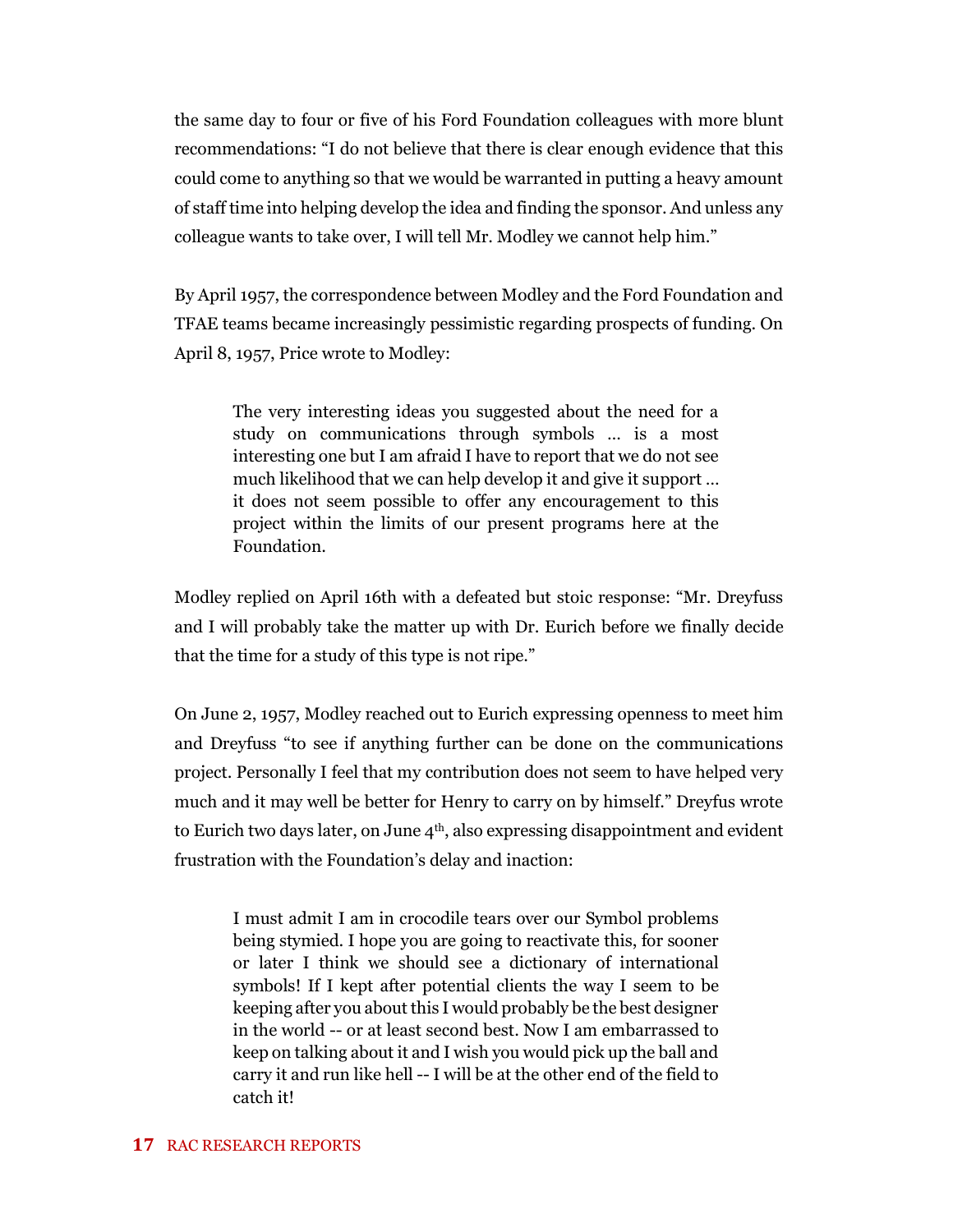the same day to four or five of his Ford Foundation colleagues with more blunt recommendations: "I do not believe that there is clear enough evidence that this could come to anything so that we would be warranted in putting a heavy amount of staff time into helping develop the idea and finding the sponsor. And unless any colleague wants to take over, I will tell Mr. Modley we cannot help him."

By April 1957, the correspondence between Modley and the Ford Foundation and TFAE teams became increasingly pessimistic regarding prospects of funding. On April 8, 1957, Price wrote to Modley:

The very interesting ideas you suggested about the need for a study on communications through symbols … is a most interesting one but I am afraid I have to report that we do not see much likelihood that we can help develop it and give it support … it does not seem possible to offer any encouragement to this project within the limits of our present programs here at the Foundation.

Modley replied on April 16th with a defeated but stoic response: "Mr. Dreyfuss and I will probably take the matter up with Dr. Eurich before we finally decide that the time for a study of this type is not ripe."

On June 2, 1957, Modley reached out to Eurich expressing openness to meet him and Dreyfuss "to see if anything further can be done on the communications project. Personally I feel that my contribution does not seem to have helped very much and it may well be better for Henry to carry on by himself." Dreyfus wrote to Eurich two days later, on June  $4<sup>th</sup>$ , also expressing disappointment and evident frustration with the Foundation's delay and inaction:

I must admit I am in crocodile tears over our Symbol problems being stymied. I hope you are going to reactivate this, for sooner or later I think we should see a dictionary of international symbols! If I kept after potential clients the way I seem to be keeping after you about this I would probably be the best designer in the world -- or at least second best. Now I am embarrassed to keep on talking about it and I wish you would pick up the ball and carry it and run like hell -- I will be at the other end of the field to catch it!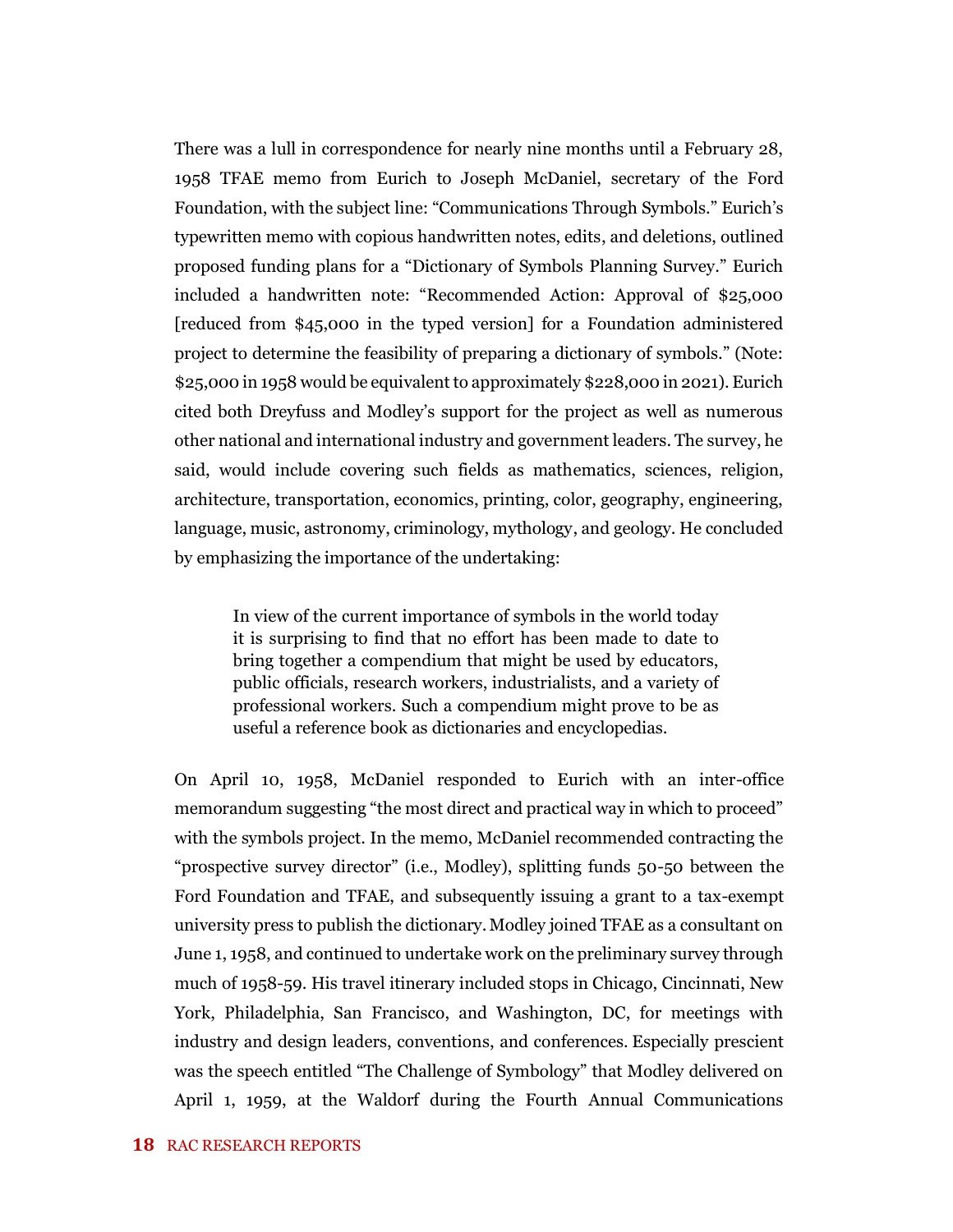There was a lull in correspondence for nearly nine months until a February 28, 1958 TFAE memo from Eurich to Joseph McDaniel, secretary of the Ford Foundation, with the subject line: "Communications Through Symbols." Eurich's typewritten memo with copious handwritten notes, edits, and deletions, outlined proposed funding plans for a "Dictionary of Symbols Planning Survey." Eurich included a handwritten note: "Recommended Action: Approval of \$25,000 [reduced from \$45,000 in the typed version] for a Foundation administered project to determine the feasibility of preparing a dictionary of symbols." (Note: \$25,000 in 1958 would be equivalent to approximately \$228,000 in 2021). Eurich cited both Dreyfuss and Modley's support for the project as well as numerous other national and international industry and government leaders. The survey, he said, would include covering such fields as mathematics, sciences, religion, architecture, transportation, economics, printing, color, geography, engineering, language, music, astronomy, criminology, mythology, and geology. He concluded by emphasizing the importance of the undertaking:

In view of the current importance of symbols in the world today it is surprising to find that no effort has been made to date to bring together a compendium that might be used by educators, public officials, research workers, industrialists, and a variety of professional workers. Such a compendium might prove to be as useful a reference book as dictionaries and encyclopedias.

On April 10, 1958, McDaniel responded to Eurich with an inter-office memorandum suggesting "the most direct and practical way in which to proceed" with the symbols project. In the memo, McDaniel recommended contracting the "prospective survey director" (i.e., Modley), splitting funds 50-50 between the Ford Foundation and TFAE, and subsequently issuing a grant to a tax-exempt university press to publish the dictionary.Modley joined TFAE as a consultant on June 1, 1958, and continued to undertake work on the preliminary survey through much of 1958-59. His travel itinerary included stops in Chicago, Cincinnati, New York, Philadelphia, San Francisco, and Washington, DC, for meetings with industry and design leaders, conventions, and conferences. Especially prescient was the speech entitled "The Challenge of Symbology" that Modley delivered on April 1, 1959, at the Waldorf during the Fourth Annual Communications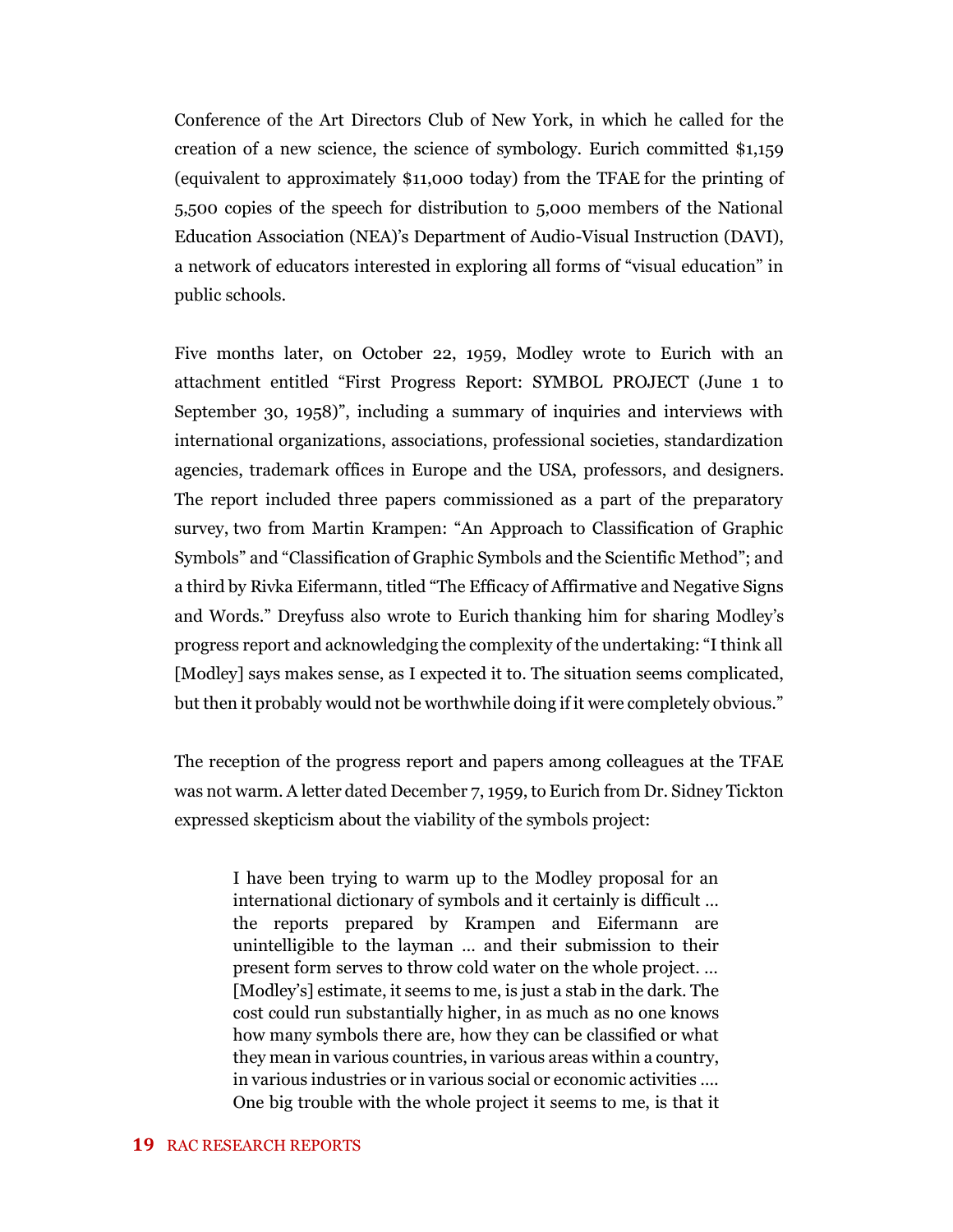Conference of the Art Directors Club of New York, in which he called for the creation of a new science, the science of symbology. Eurich committed \$1,159 (equivalent to approximately \$11,000 today) from the TFAE for the printing of 5,500 copies of the speech for distribution to 5,000 members of the National Education Association (NEA)'s Department of Audio-Visual Instruction (DAVI), a network of educators interested in exploring all forms of "visual education" in public schools.

Five months later, on October 22, 1959, Modley wrote to Eurich with an attachment entitled "First Progress Report: SYMBOL PROJECT (June 1 to September 30, 1958)", including a summary of inquiries and interviews with international organizations, associations, professional societies, standardization agencies, trademark offices in Europe and the USA, professors, and designers. The report included three papers commissioned as a part of the preparatory survey, two from Martin Krampen: "An Approach to Classification of Graphic Symbols" and "Classification of Graphic Symbols and the Scientific Method"; and a third by Rivka Eifermann, titled "The Efficacy of Affirmative and Negative Signs and Words." Dreyfuss also wrote to Eurich thanking him for sharing Modley's progress report and acknowledging the complexity of the undertaking: "I think all [Modley] says makes sense, as I expected it to. The situation seems complicated, but then it probably would not be worthwhile doing if it were completely obvious."

The reception of the progress report and papers among colleagues at the TFAE was not warm. A letter dated December 7, 1959, to Eurich from Dr. Sidney Tickton expressed skepticism about the viability of the symbols project:

I have been trying to warm up to the Modley proposal for an international dictionary of symbols and it certainly is difficult … the reports prepared by Krampen and Eifermann are unintelligible to the layman … and their submission to their present form serves to throw cold water on the whole project. … [Modley's] estimate, it seems to me, is just a stab in the dark. The cost could run substantially higher, in as much as no one knows how many symbols there are, how they can be classified or what they mean in various countries, in various areas within a country, in various industries or in various social or economic activities …. One big trouble with the whole project it seems to me, is that it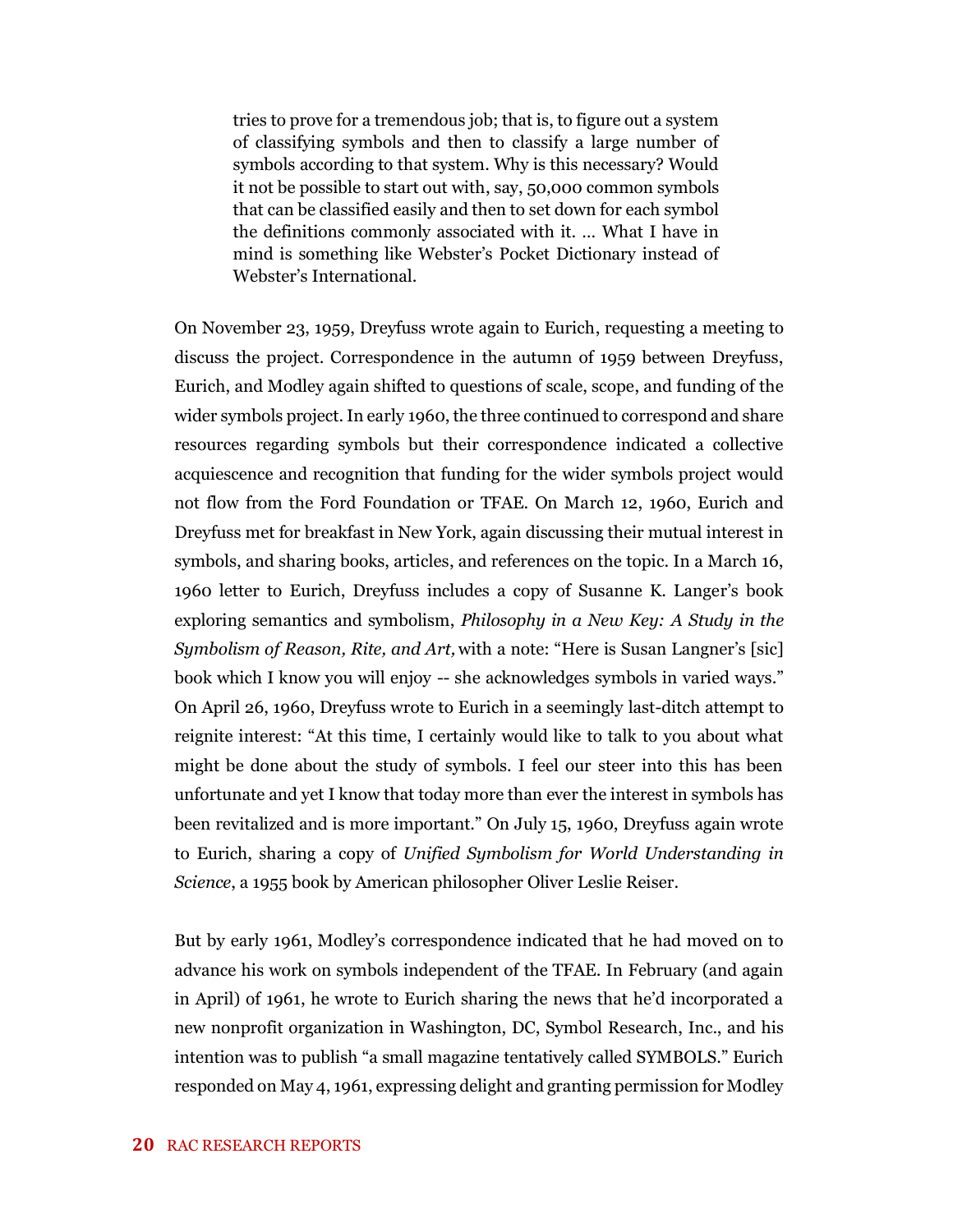tries to prove for a tremendous job; that is, to figure out a system of classifying symbols and then to classify a large number of symbols according to that system. Why is this necessary? Would it not be possible to start out with, say, 50,000 common symbols that can be classified easily and then to set down for each symbol the definitions commonly associated with it. … What I have in mind is something like Webster's Pocket Dictionary instead of Webster's International.

On November 23, 1959, Dreyfuss wrote again to Eurich, requesting a meeting to discuss the project. Correspondence in the autumn of 1959 between Dreyfuss, Eurich, and Modley again shifted to questions of scale, scope, and funding of the wider symbols project. In early 1960, the three continued to correspond and share resources regarding symbols but their correspondence indicated a collective acquiescence and recognition that funding for the wider symbols project would not flow from the Ford Foundation or TFAE. On March 12, 1960, Eurich and Dreyfuss met for breakfast in New York, again discussing their mutual interest in symbols, and sharing books, articles, and references on the topic. In a March 16, 1960 letter to Eurich, Dreyfuss includes a copy of Susanne K. Langer's book exploring semantics and symbolism, *Philosophy in a New Key: A Study in the Symbolism of Reason, Rite, and Art,* with a note: "Here is Susan Langner's [sic] book which I know you will enjoy -- she acknowledges symbols in varied ways." On April 26, 1960, Dreyfuss wrote to Eurich in a seemingly last-ditch attempt to reignite interest: "At this time, I certainly would like to talk to you about what might be done about the study of symbols. I feel our steer into this has been unfortunate and yet I know that today more than ever the interest in symbols has been revitalized and is more important." On July 15, 1960, Dreyfuss again wrote to Eurich, sharing a copy of *Unified Symbolism for World Understanding in Science*, a 1955 book by American philosopher Oliver Leslie Reiser.

But by early 1961, Modley's correspondence indicated that he had moved on to advance his work on symbols independent of the TFAE. In February (and again in April) of 1961, he wrote to Eurich sharing the news that he'd incorporated a new nonprofit organization in Washington, DC, Symbol Research, Inc., and his intention was to publish "a small magazine tentatively called SYMBOLS." Eurich responded on May 4, 1961, expressing delight and granting permission for Modley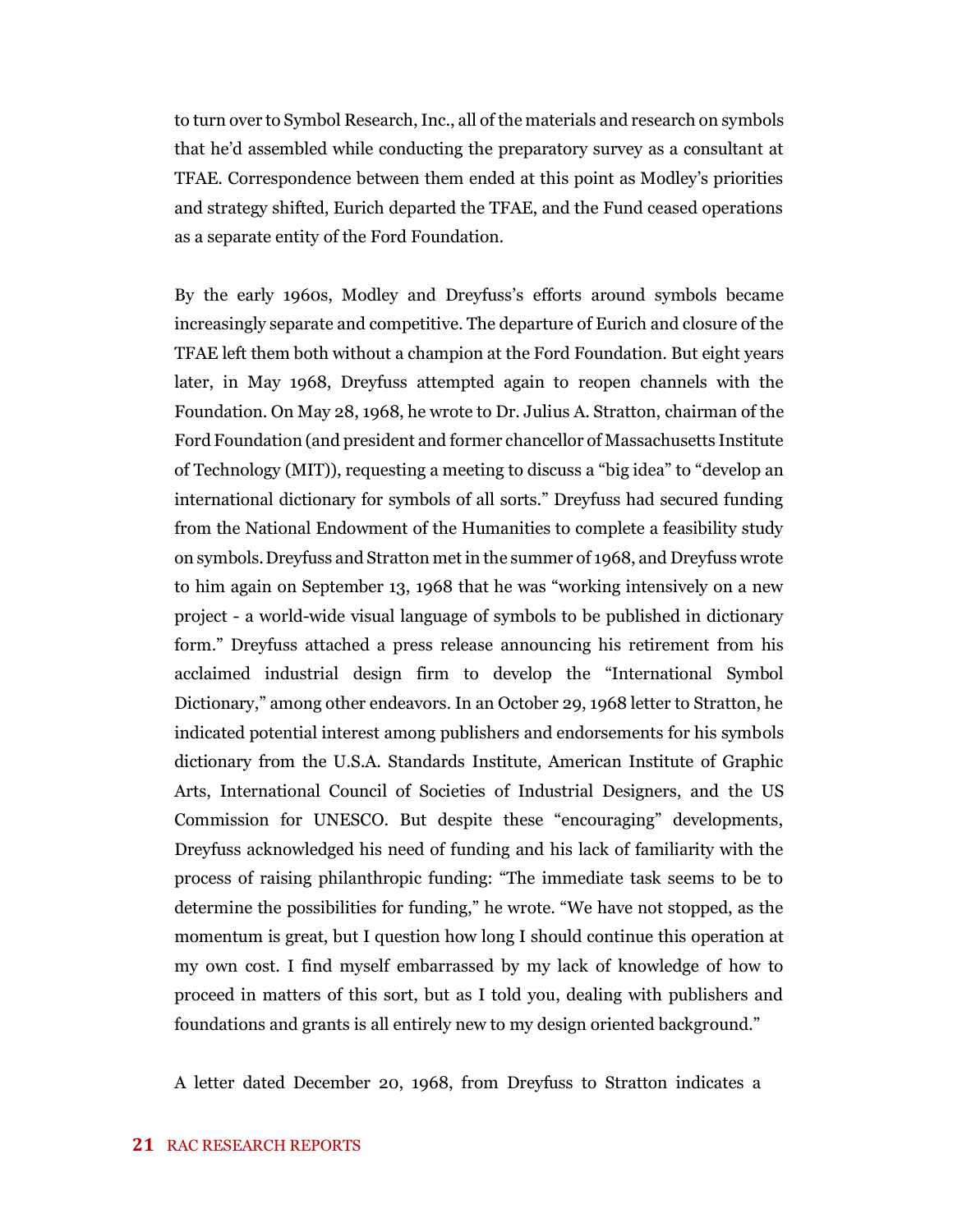to turn over to Symbol Research, Inc., all of the materials and research on symbols that he'd assembled while conducting the preparatory survey as a consultant at TFAE. Correspondence between them ended at this point as Modley's priorities and strategy shifted, Eurich departed the TFAE, and the Fund ceased operations as a separate entity of the Ford Foundation.

By the early 1960s, Modley and Dreyfuss's efforts around symbols became increasingly separate and competitive. The departure of Eurich and closure of the TFAE left them both without a champion at the Ford Foundation. But eight years later, in May 1968, Dreyfuss attempted again to reopen channels with the Foundation. On May 28, 1968, he wrote to Dr. Julius A. Stratton, chairman of the Ford Foundation (and president and former chancellor of Massachusetts Institute of Technology (MIT)), requesting a meeting to discuss a "big idea" to "develop an international dictionary for symbols of all sorts." Dreyfuss had secured funding from the National Endowment of the Humanities to complete a feasibility study on symbols.Dreyfuss and Stratton met in the summer of 1968, and Dreyfuss wrote to him again on September 13, 1968 that he was "working intensively on a new project - a world-wide visual language of symbols to be published in dictionary form." Dreyfuss attached a press release announcing his retirement from his acclaimed industrial design firm to develop the "International Symbol Dictionary," among other endeavors. In an October 29, 1968 letter to Stratton, he indicated potential interest among publishers and endorsements for his symbols dictionary from the U.S.A. Standards Institute, American Institute of Graphic Arts, International Council of Societies of Industrial Designers, and the US Commission for UNESCO. But despite these "encouraging" developments, Dreyfuss acknowledged his need of funding and his lack of familiarity with the process of raising philanthropic funding: "The immediate task seems to be to determine the possibilities for funding," he wrote. "We have not stopped, as the momentum is great, but I question how long I should continue this operation at my own cost. I find myself embarrassed by my lack of knowledge of how to proceed in matters of this sort, but as I told you, dealing with publishers and foundations and grants is all entirely new to my design oriented background."

A letter dated December 20, 1968, from Dreyfuss to Stratton indicates a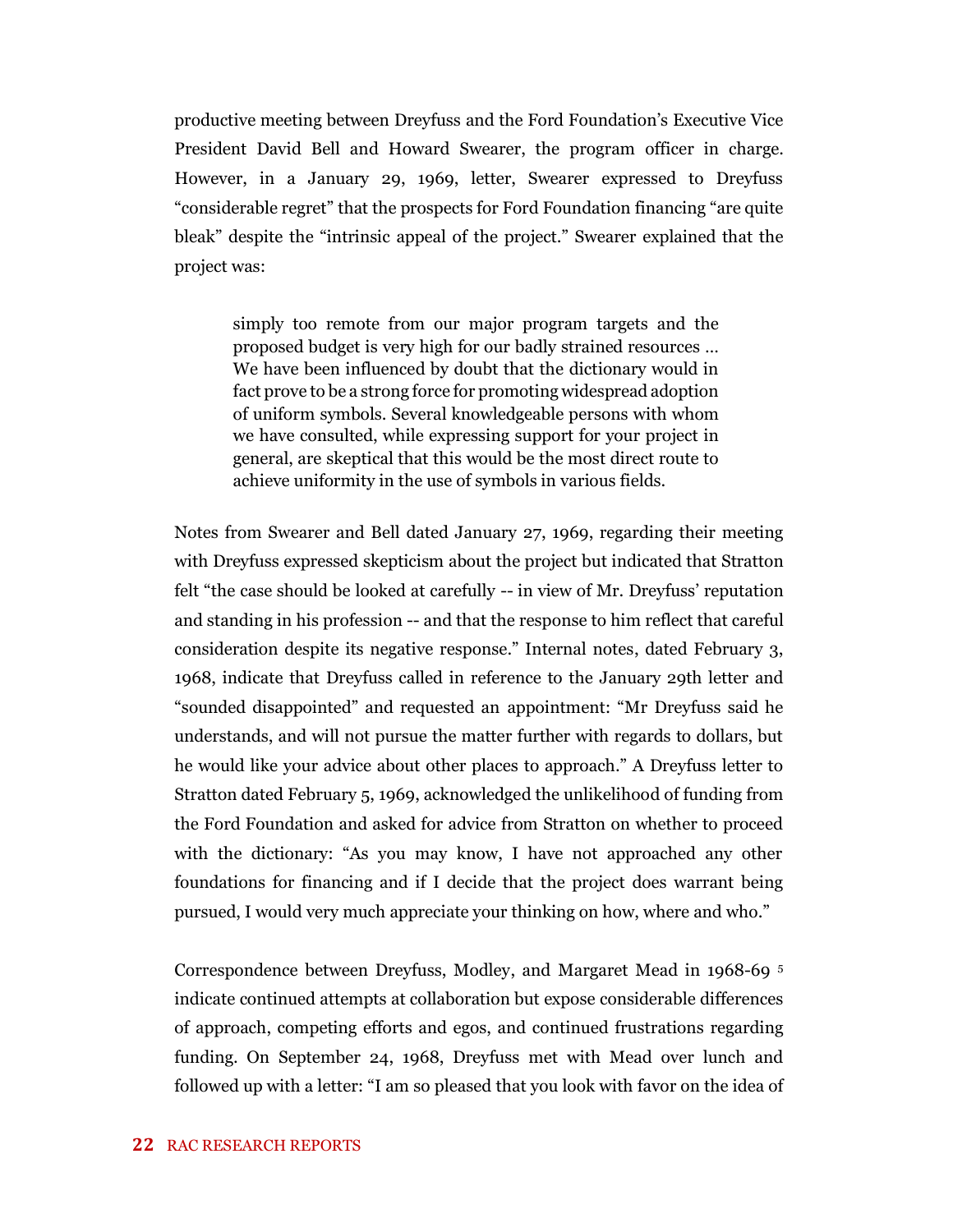productive meeting between Dreyfuss and the Ford Foundation's Executive Vice President David Bell and Howard Swearer, the program officer in charge. However, in a January 29, 1969, letter, Swearer expressed to Dreyfuss "considerable regret" that the prospects for Ford Foundation financing "are quite bleak" despite the "intrinsic appeal of the project." Swearer explained that the project was:

simply too remote from our major program targets and the proposed budget is very high for our badly strained resources … We have been influenced by doubt that the dictionary would in fact prove to be a strong force for promoting widespread adoption of uniform symbols. Several knowledgeable persons with whom we have consulted, while expressing support for your project in general, are skeptical that this would be the most direct route to achieve uniformity in the use of symbols in various fields.

Notes from Swearer and Bell dated January 27, 1969, regarding their meeting with Dreyfuss expressed skepticism about the project but indicated that Stratton felt "the case should be looked at carefully -- in view of Mr. Dreyfuss' reputation and standing in his profession -- and that the response to him reflect that careful consideration despite its negative response." Internal notes, dated February 3, 1968, indicate that Dreyfuss called in reference to the January 29th letter and "sounded disappointed" and requested an appointment: "Mr Dreyfuss said he understands, and will not pursue the matter further with regards to dollars, but he would like your advice about other places to approach." A Dreyfuss letter to Stratton dated February 5, 1969, acknowledged the unlikelihood of funding from the Ford Foundation and asked for advice from Stratton on whether to proceed with the dictionary: "As you may know, I have not approached any other foundations for financing and if I decide that the project does warrant being pursued, I would very much appreciate your thinking on how, where and who."

Correspondence between Dreyfuss, Modley, and Margaret Mead in 1968-69 <sup>5</sup> indicate continued attempts at collaboration but expose considerable differences of approach, competing efforts and egos, and continued frustrations regarding funding. On September 24, 1968, Dreyfuss met with Mead over lunch and followed up with a letter: "I am so pleased that you look with favor on the idea of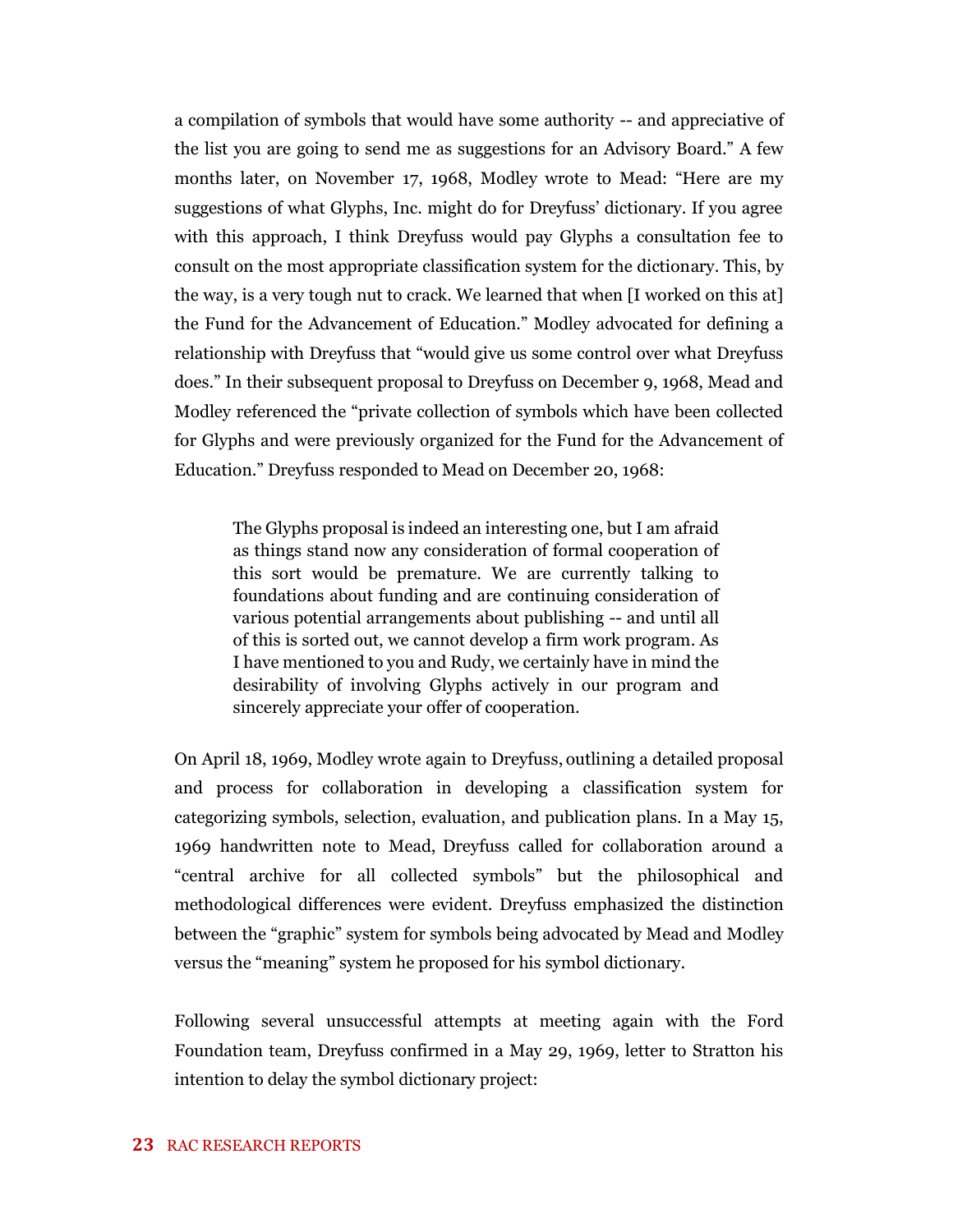a compilation of symbols that would have some authority -- and appreciative of the list you are going to send me as suggestions for an Advisory Board." A few months later, on November 17, 1968, Modley wrote to Mead: "Here are my suggestions of what Glyphs, Inc. might do for Dreyfuss' dictionary. If you agree with this approach, I think Dreyfuss would pay Glyphs a consultation fee to consult on the most appropriate classification system for the dictionary. This, by the way, is a very tough nut to crack. We learned that when [I worked on this at] the Fund for the Advancement of Education." Modley advocated for defining a relationship with Dreyfuss that "would give us some control over what Dreyfuss does." In their subsequent proposal to Dreyfuss on December 9, 1968, Mead and Modley referenced the "private collection of symbols which have been collected for Glyphs and were previously organized for the Fund for the Advancement of Education." Dreyfuss responded to Mead on December 20, 1968:

The Glyphs proposal is indeed an interesting one, but I am afraid as things stand now any consideration of formal cooperation of this sort would be premature. We are currently talking to foundations about funding and are continuing consideration of various potential arrangements about publishing -- and until all of this is sorted out, we cannot develop a firm work program. As I have mentioned to you and Rudy, we certainly have in mind the desirability of involving Glyphs actively in our program and sincerely appreciate your offer of cooperation.

On April 18, 1969, Modley wrote again to Dreyfuss, outlining a detailed proposal and process for collaboration in developing a classification system for categorizing symbols, selection, evaluation, and publication plans. In a May 15, 1969 handwritten note to Mead, Dreyfuss called for collaboration around a "central archive for all collected symbols" but the philosophical and methodological differences were evident. Dreyfuss emphasized the distinction between the "graphic" system for symbols being advocated by Mead and Modley versus the "meaning" system he proposed for his symbol dictionary.

Following several unsuccessful attempts at meeting again with the Ford Foundation team, Dreyfuss confirmed in a May 29, 1969, letter to Stratton his intention to delay the symbol dictionary project: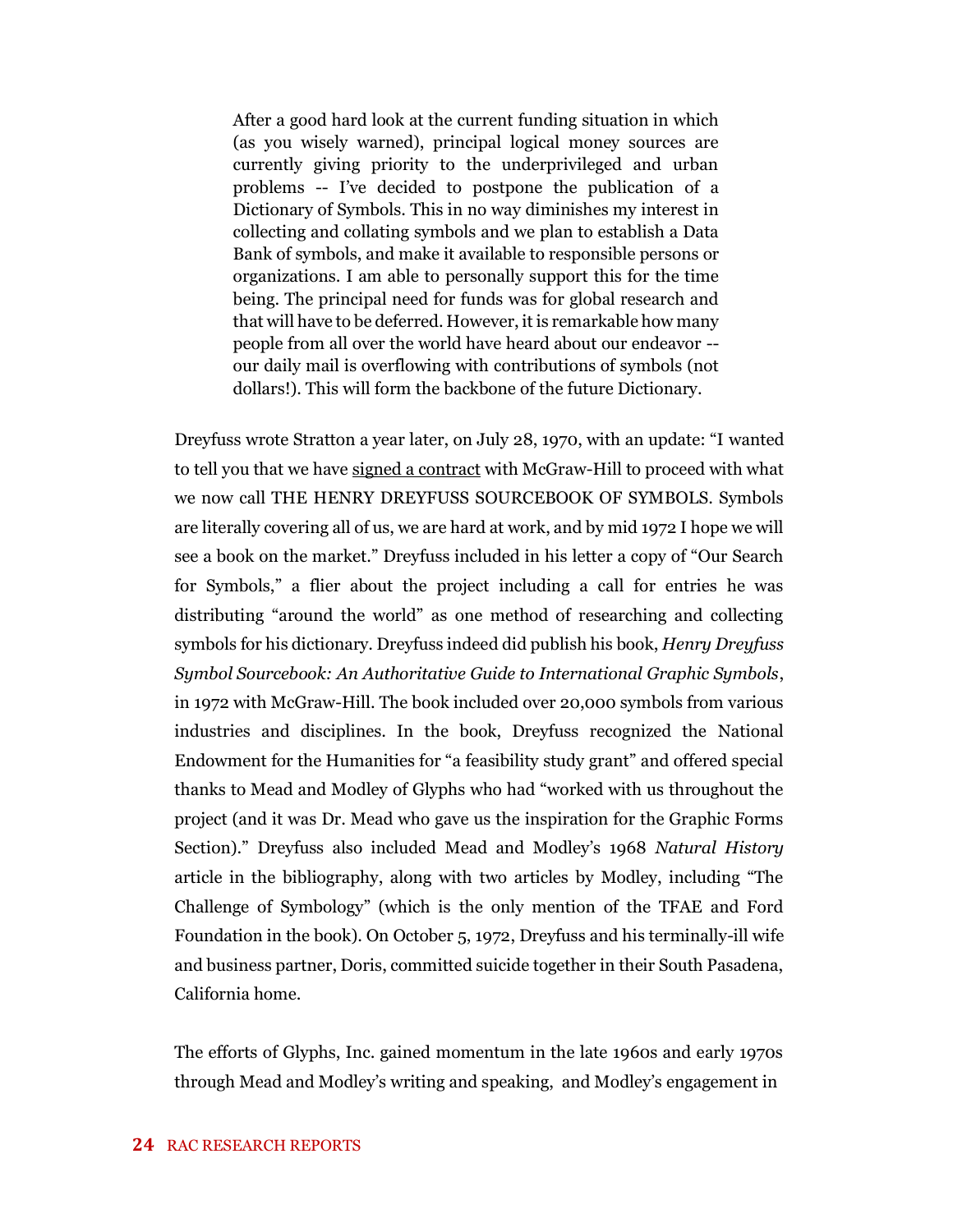After a good hard look at the current funding situation in which (as you wisely warned), principal logical money sources are currently giving priority to the underprivileged and urban problems -- I've decided to postpone the publication of a Dictionary of Symbols. This in no way diminishes my interest in collecting and collating symbols and we plan to establish a Data Bank of symbols, and make it available to responsible persons or organizations. I am able to personally support this for the time being. The principal need for funds was for global research and that will have to be deferred. However, it is remarkable how many people from all over the world have heard about our endeavor - our daily mail is overflowing with contributions of symbols (not dollars!). This will form the backbone of the future Dictionary.

Dreyfuss wrote Stratton a year later, on July 28, 1970, with an update: "I wanted to tell you that we have signed a contract with McGraw-Hill to proceed with what we now call THE HENRY DREYFUSS SOURCEBOOK OF SYMBOLS. Symbols are literally covering all of us, we are hard at work, and by mid 1972 I hope we will see a book on the market." Dreyfuss included in his letter a copy of "Our Search for Symbols," a flier about the project including a call for entries he was distributing "around the world" as one method of researching and collecting symbols for his dictionary. Dreyfuss indeed did publish his book, *Henry Dreyfuss Symbol Sourcebook: An Authoritative Guide to International Graphic Symbols*, in 1972 with McGraw-Hill. The book included over 20,000 symbols from various industries and disciplines. In the book, Dreyfuss recognized the National Endowment for the Humanities for "a feasibility study grant" and offered special thanks to Mead and Modley of Glyphs who had "worked with us throughout the project (and it was Dr. Mead who gave us the inspiration for the Graphic Forms Section)." Dreyfuss also included Mead and Modley's 1968 *Natural History* article in the bibliography, along with two articles by Modley, including "The Challenge of Symbology" (which is the only mention of the TFAE and Ford Foundation in the book). On October 5, 1972, Dreyfuss and his terminally-ill wife and business partner, Doris, committed suicide together in their South Pasadena, California home.

The efforts of Glyphs, Inc. gained momentum in the late 1960s and early 1970s through Mead and Modley's writing and speaking, and Modley's engagement in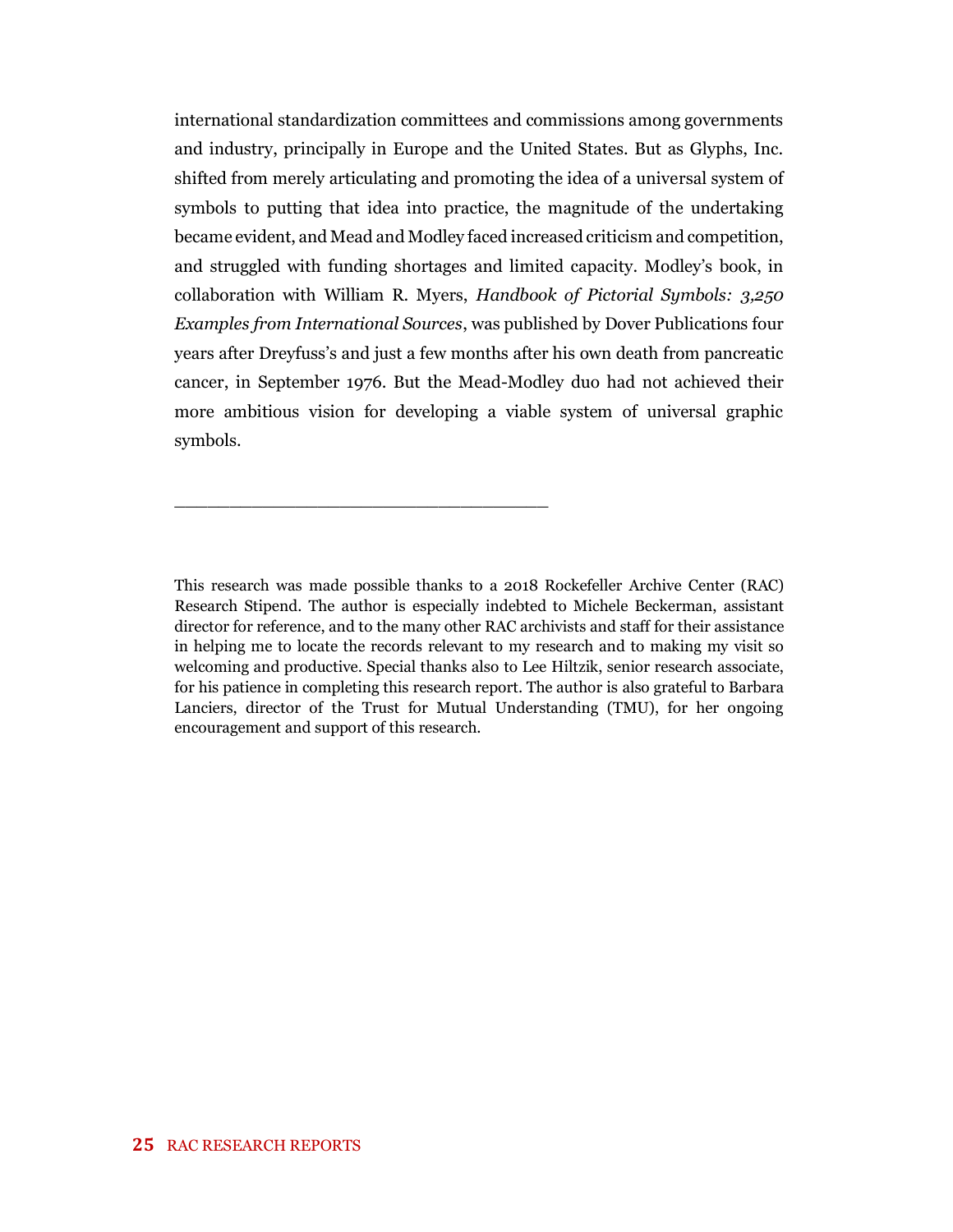international standardization committees and commissions among governments and industry, principally in Europe and the United States. But as Glyphs, Inc. shifted from merely articulating and promoting the idea of a universal system of symbols to putting that idea into practice, the magnitude of the undertaking became evident, and Mead and Modley faced increased criticism and competition, and struggled with funding shortages and limited capacity. Modley's book, in collaboration with William R. Myers, *Handbook of Pictorial Symbols: 3,250 Examples from International Sources*, was published by Dover Publications four years after Dreyfuss's and just a few months after his own death from pancreatic cancer, in September 1976. But the Mead-Modley duo had not achieved their more ambitious vision for developing a viable system of universal graphic symbols.

\_\_\_\_\_\_\_\_\_\_\_\_\_\_\_\_\_\_\_\_\_\_\_\_\_\_\_\_\_\_\_\_\_\_

This research was made possible thanks to a 2018 Rockefeller Archive Center (RAC) Research Stipend. The author is especially indebted to Michele Beckerman, assistant director for reference, and to the many other RAC archivists and staff for their assistance in helping me to locate the records relevant to my research and to making my visit so welcoming and productive. Special thanks also to Lee Hiltzik, senior research associate, for his patience in completing this research report. The author is also grateful to Barbara Lanciers, director of the Trust for Mutual Understanding (TMU), for her ongoing encouragement and support of this research.